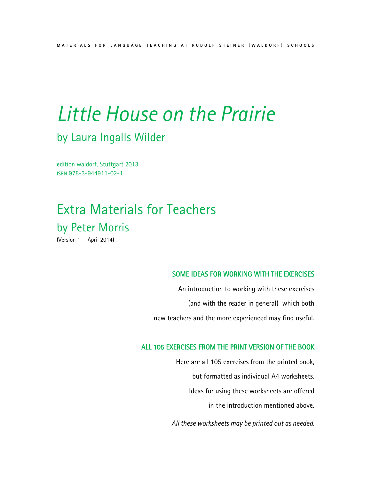## by Laura Ingalls Wilder

edition waldorf, Stuttgart 2013 ISBN 978-3-944911-02-1

## Extra Materials for Teachers by Peter Morris

(Version 1 — April 2014)

#### SOME IDEAS FOR WORKING WITH THE EXERCISES

An introduction to working with these exercises (and with the reader in general) which both new teachers and the more experienced may find useful.

#### ALL 105 EXERCISES FROM THE PRINT VERSION OF THE BOOK

Here are all 105 exercises from the printed book, but formatted as individual A4 worksheets. Ideas for using these worksheets are offered in the introduction mentioned above.

*All these worksheets may be printed out as needed.*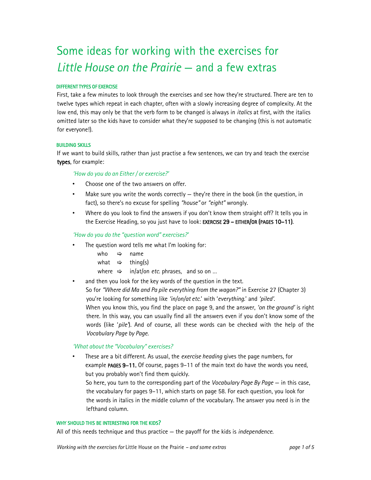## Some ideas for working with the exercises for *Little House on the Prairie* — and a few extras

#### DIFFERENT TYPES OF EXERCISE

First, take a few minutes to look through the exercises and see how they're structured. There are ten to twelve types which repeat in each chapter, often with a slowly increasing degree of complexity. At the low end, this may only be that the verb form to be changed is always in *italics* at first, with the italics omitted later so the kids have to consider what they're supposed to be changing (this is not automatic for everyone!).

#### BUILDING SKILLS

If we want to build skills, rather than just practise a few sentences, we can try and teach the exercise types, for example:

#### *'How do you do an Either / or exercise?'*

- Choose one of the two answers on offer.
- Make sure you write the words correctly  $-$  they're there in the book (in the question, in fact), so there's no excuse for spelling *"house"* or *"eight"* wrongly.
- Where do you look to find the answers if you don't know them straight off? It tells you in the Exercise Heading, so you just have to look: EXERCISE 29 - EITHER/OR (PAGES 10-11).

#### *'How do you do the "question word" exercises?'*

The question word tells me what I'm looking for:

|  | who   ⇒ name                |  |  |  |
|--|-----------------------------|--|--|--|
|  | what $\Rightarrow$ thing(s) |  |  |  |
|  |                             |  |  |  |

- where  $\Rightarrow$  in/at/on *etc*. phrases, and so on ...
- and then you look for the key words of the question in the text.

So for *"Where did Ma and Pa pile everything from the wagon?"* in Exercise 27 (Chapter 3) you're looking for something like *'in/on/at etc.*' with '*everything*.' and *'piled'.* When you know this, you find the place on page 9, and the answer, *'on the ground'* is right

there. In this way, you can usually find all the answers even if you don't know some of the words (like '*pile'*). And of course, all these words can be checked with the help of the *Vocabulary Page by Page*.

#### *'What about the "Vocabulary" exercises?*

• These are a bit different. As usual, the *exercise heading* gives the page numbers, for example PAGES 9–11. Of course, pages 9–11 of the main text do have the words you need, but you probably won't find them quickly.

So here, you turn to the corresponding part of the *Vocabulary Page By Page* — in this case, the vocabulary for pages 9–11, which starts on page 58. For each question, you look for the words in italics in the middle column of the vocabulary. The answer you need is in the lefthand column.

#### WHY SHOULD THIS BE INTERESTING FOR THE KIDS?

All of this needs technique and thus practice — the payoff for the kids is *independence*.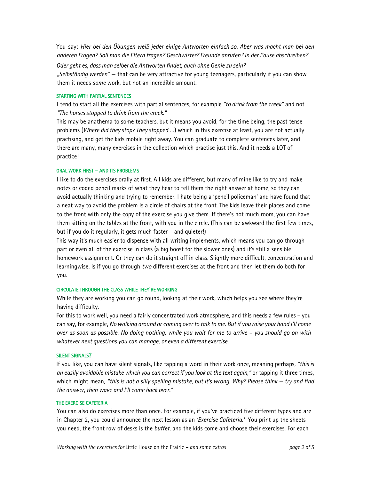You say: *Hier bei den Übungen weiß jeder einige Antworten einfach so. Aber was macht man bei den anderen Fragen? Soll man die Eltern fragen? Geschwister? Freunde anrufen? In der Pause abschreiben?* 

*Oder geht es, dass man selber die Antworten findet, auch ohne Genie zu sein?* 

*"Selbständig werden"* — that can be very attractive for young teenagers, particularly if you can show them it needs *some* work, but not an incredible amount.

#### STARTING WITH PARTIAL SENTENCES

I tend to start all the exercises with partial sentences, for example *"to drink from the creek"* and not *"The horses stopped to drink from the creek."*

This may be anathema to some teachers, but it means you avoid, for the time being, the past tense problems (*Where did they stop? They stopped* …) which in this exercise at least, you are not actually practising, and get the kids mobile right away. You can graduate to complete sentences later, and there are many, many exercises in the collection which practise just this. And it needs a LOT of practice!

#### ORAL WORK FIRST – AND ITS PROBLEMS

I like to do the exercises orally at first. All kids are different, but many of mine like to try and make notes or coded pencil marks of what they hear to tell them the right answer at home, so they can avoid actually thinking and trying to remember. I hate being a 'pencil policeman' and have found that a neat way to avoid the problem is a circle of chairs at the front. The kids leave their places and come to the front with only the copy of the exercise you give them. If there's not much room, you can have them sitting on the tables at the front, with you in the circle. (This can be awkward the first few times, but if you do it regularly, it gets much faster – and quieter!)

This way it's much easier to dispense with all writing implements, which means you can go through part or even all of the exercise in class (a big boost for the slower ones) and it's still a sensible homework assignment. Or they can do it straight off in class. Slightly more difficult, concentration and learningwise, is if you go through *two* different exercises at the front and then let them do both for you.

#### CIRCULATE THROUGH THE CLASS WHILE THEY'RE WORKING

While they are working you can go round, looking at their work, which helps you see where they're having difficulty.

For this to work well, you need a fairly concentrated work atmosphere, and this needs a few rules – you can say, for example, *No walking around or coming over to talk to me. But if you raise your hand I'll come over as soon as possible. No doing nothing, while you wait for me to arrive – you should go on with whatever next questions you can manage, or even a different exercise.*

#### SILENT SIGNALS?

If you like, you can have silent signals, like tapping a word in their work once, meaning perhaps, *"this is an easily avoidable mistake which you can correct if you look at the text again,"* or tapping it three times, which might mean, *"this is not a silly spelling mistake, but it's wrong. Why? Please think — try and find the answer, then wave and I'll come back over."*

#### THE EXERCISE CAFETERIA

You can also do exercises more than once. For example, if you've practiced five different types and are in Chapter 2, you could announce the next lesson as an *'Exercise Cafeteria.'* You print up the sheets you need, the front row of desks is the *buffet*, and the kids come and choose their exercises. For each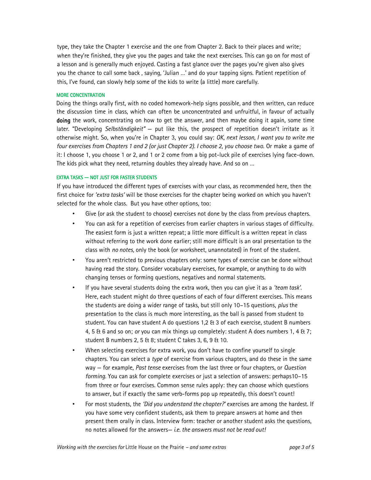type, they take the Chapter 1 exercise and the one from Chapter 2. Back to their places and write; when they're finished, they give you the pages and take the next exercises. This can go on for most of a lesson and is generally much enjoyed. Casting a fast glance over the pages you're given also gives you the chance to call some back , saying, 'Julian …' and do your tapping signs. Patient repetition of this, I've found, can slowly help some of the kids to write (a little) more carefully.

#### MORE CONCENTRATION

Doing the things orally first, with no coded homework-help signs possible, and then written, can reduce the discussion time in class, which can often be unconcentrated and unfruitful, in favour of actually doing the work, concentrating on how to get the answer, and then maybe doing it again, some time later. "Developing *Selbständigkeit"* — put like this, the prospect of repetition doesn't irritate as it otherwise might. So, when you're in Chapter 3, you could say: *OK, next lesson, I want you to write me four exercises from Chapters 1 and 2 (or just Chapter 2). I choose 2, you choose two.* Or make a game of it: I choose 1, you choose 1 or 2, and 1 or 2 come from a big pot-luck pile of exercises lying face-down. The kids pick what they need, returning doubles they already have. And so on …

#### EXTRA TASKS — NOT JUST FOR FASTER STUDENTS

If you have introduced the different types of exercises with your class, as recommended here, then the first choice for *'extra tasks'* will be those exercises for the chapter being worked on which you haven't selected for the whole class. But you have other options, too:

- Give (or ask the student to choose) exercises not done by the class from previous chapters.
- You can ask for a repetition of exercises from earlier chapters in various stages of difficulty. The easiest form is just a written repeat; a little more difficult is a written repeat in class without referring to the work done earlier; still more difficult is an oral presentation to the class with *no notes,* only the book (or worksheet, unannotated) in front of the student.
- You aren't restricted to previous chapters only: some types of exercise can be done without having read the story. Consider vocabulary exercises, for example, or anything to do with changing tenses or forming questions, negatives and normal statements.
- If you have several students doing the extra work, then you can give it as a *'team task'*. Here, each student might do three questions of each of four different exercises. This means the students are doing a wider range of tasks, but still only 10–15 questions, *plus* the presentation to the class is much more interesting, as the ball is passed from student to student. You can have student A do questions 1,2 & 3 of each exercise, student B numbers 4, 5 & 6 and so on; *or* you can mix things up completely: student A does numbers 1, 4 & 7; student B numbers 2, 5 & 8; student C takes 3, 6, 9 & 10.
- When selecting exercises for extra work, you don't have to confine yourself to single chapters. You can select a *type* of exercise from various chapters, and do these in the same way — for example, *Past tense* exercises from the last three or four chapters, or *Question forming*. You can ask for complete exercises or just a selection of answers: perhaps10–15 from three or four exercises. Common sense rules apply: they can choose which questions to answer, but if exactly the same verb-forms pop up repeatedly, this doesn't count!
- For most students, the *'Did you understand the chapter?'* exercises are among the hardest. If you have some very confident students, ask them to prepare answers at home and then present them orally in class. Interview form: teacher or another student asks the questions, no notes allowed for the answers— *i.e. the answers must not be read out!*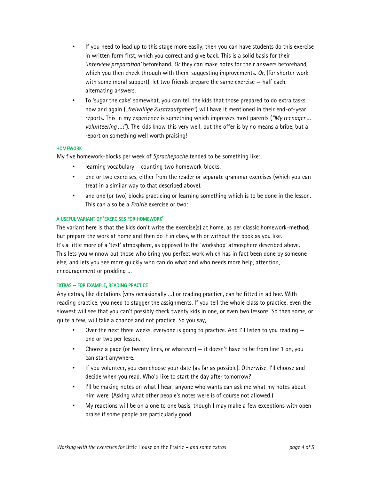- If you need to lead up to this stage more easily, then you can have students do this exercise in written form first, which you correct and give back. This is a solid basis for their *'interview preparation'* beforehand. *Or* they can make notes for their answers beforehand, which you then check through with them, suggesting improvements. *Or,* (for shorter work with some moral support), let two friends prepare the same exercise — half each, alternating answers.
- To 'sugar the cake' somewhat, you can tell the kids that those prepared to do extra tasks now and again (*"freiwillige Zusatzaufgaben"*) will have it mentioned in their end-of-year reports. This in my experience is something which impresses most parents (*"My teenager … volunteering …!"*). The kids know this very well, but the offer is by no means a bribe, but a report on something well worth praising!

#### **HOMEWORK**

My five homework-blocks per week of *Sprachepoche* tended to be something like:

- learning vocabulary counting two homework-blocks.
- one or two exercises, either from the reader or separate grammar exercises (which you can treat in a similar way to that described above).
- and one (or two) blocks practicing or learning something which is to be done in the lesson. This can also be a *Prairie* exercise or two:

#### A USEFUL VARIANT OF 'EXERCISES FOR HOMEWORK'

The variant here is that the kids don't write the exercise(s) at home, as per classic homework-method, but prepare the work at home and then do it in class, with or without the book as you like. It's a little more of a 'test' atmosphere, as opposed to the 'workshop' atmosphere described above. This lets you winnow out those who bring you perfect work which has in fact been done by someone else, and lets you see more quickly who can do what and who needs more help, attention, encouragement or prodding …

#### EXTRAS – FOR EXAMPLE, READING PRACTICE

Any extras, like dictations (very occasionally …) or reading practice, can be fitted in ad hoc. With reading practice, you need to stagger the assignments. If you tell the whole class to practice, even the slowest will see that you can't possibly check twenty kids in one, or even two lessons. So then some, or quite a few, will take a chance and not practice. So you say,

- Over the next three weeks, everyone is going to practice. And I'll listen to you reading one or two per lesson.
- Choose a page (or twenty lines, or whatever) it doesn't have to be from line 1 on, you can start anywhere.
- If you volunteer, you can choose your date (as far as possible). Otherwise, I'll choose and decide when you read. Who'd like to start the day after tomorrow?
- I'll be making notes on what I hear; anyone who wants can ask me what my notes about him were. (Asking what other people's notes were is of course not allowed.)
- My reactions will be on a one to one basis, though I may make a few exceptions with open praise if some people are particularly good …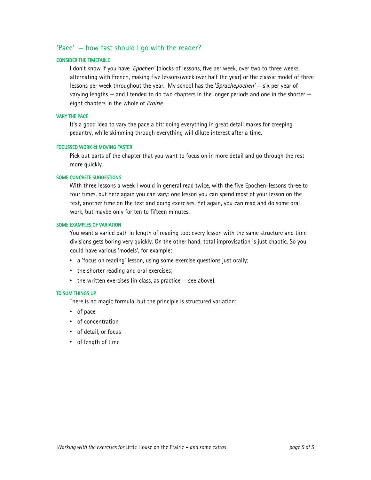#### 'Pace' — how fast should I go with the reader?

#### CONSIDER THE TIMETABLE

I don't know if you have '*Epochen'* (blocks of lessons, five per week, over two to three weeks, alternating with French, making five lessons/week over half the year) or the classic model of three lessons per week throughout the year. My school has the '*Sprachepochen'* — six per year of varying lengths — and I tended to do two chapters in the longer periods and one in the shorter eight chapters in the whole of *Prairie*.

#### VARY THE PACE

It's a good idea to vary the pace a bit: doing everything in great detail makes for creeping pedantry, while skimming through everything will dilute interest after a time.

#### FOCUSSED WORK & MOVING FASTER

Pick out parts of the chapter that you want to focus on in more detail and go through the rest more quickly.

#### SOME CONCRETE SUGGESTIONS

With three lessons a week I would in general read twice, with the five Epochen-lessons three to four times, but here again you can vary: one lesson you can spend most of your lesson on the text, another time on the text and doing exercises. Yet again, you can read and do some oral work, but maybe only for ten to fifteen minutes.

#### SOME EXAMPLES OF VARIATION

You want a varied path in length of reading too: every lesson with the same structure and time divisions gets boring very quickly. On the other hand, total improvisation is just chaotic. So you could have various 'models', for example:

- a 'focus on reading' lesson, using some exercise questions just orally;
- the shorter reading and oral exercises;
- the written exercises (in class, as practice see above).

#### TO SUM THINGS UP

There is no magic formula, but the principle is structured variation:

- of pace
- of concentration
- of detail, or focus
- of length of time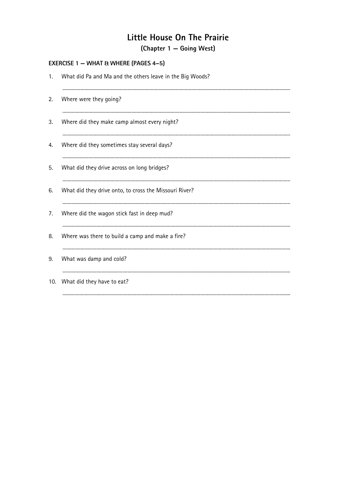(Chapter 1 – Going West)

|    | <b>EXERCISE 1 - WHAT &amp; WHERE (PAGES 4-5)</b>          |
|----|-----------------------------------------------------------|
| 1. | What did Pa and Ma and the others leave in the Big Woods? |
| 2. | Where were they going?                                    |
| 3. | Where did they make camp almost every night?              |
| 4. | Where did they sometimes stay several days?               |
| 5. | What did they drive across on long bridges?               |
| 6. | What did they drive onto, to cross the Missouri River?    |
| 7. | Where did the wagon stick fast in deep mud?               |
| 8. | Where was there to build a camp and make a fire?          |
| 9. | What was damp and cold?                                   |
|    | 10. What did they have to eat?                            |
|    |                                                           |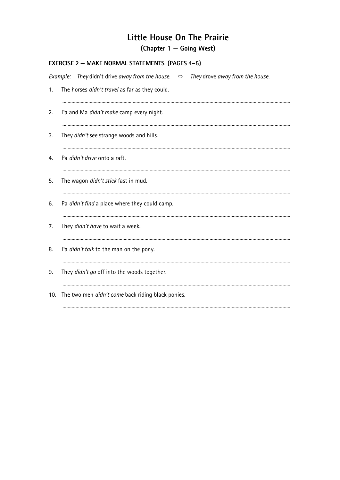(Chapter 1 – Going West)

|    | <b>EXERCISE 2 - MAKE NORMAL STATEMENTS (PAGES 4-5)</b>                                           |  |  |
|----|--------------------------------------------------------------------------------------------------|--|--|
|    | They didn't drive away from the house. $\Rightarrow$ They drove away from the house.<br>Example: |  |  |
| 1. | The horses didn't travel as far as they could.                                                   |  |  |
| 2. | Pa and Ma didn't make camp every night.                                                          |  |  |
| 3. | They didn't see strange woods and hills.                                                         |  |  |
| 4. | Pa didn't drive onto a raft.                                                                     |  |  |
| 5. | The wagon didn't stick fast in mud.                                                              |  |  |
| 6. | Pa didn't find a place where they could camp.                                                    |  |  |
| 7. | They didn't have to wait a week.                                                                 |  |  |
| 8. | Pa didn't talk to the man on the pony.                                                           |  |  |
| 9. | They didn't go off into the woods together.                                                      |  |  |
|    | 10. The two men didn't come back riding black ponies.                                            |  |  |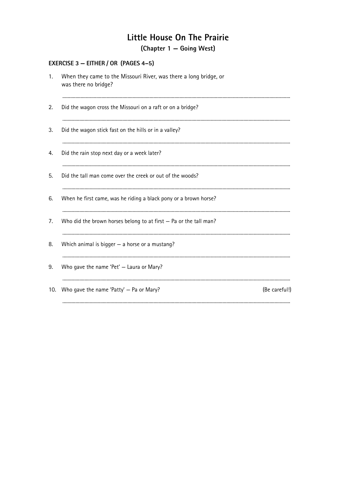(Chapter 1 – Going West)

#### EXERCISE 3 - EITHER / OR (PAGES 4-5)

| 1.  | When they came to the Missouri River, was there a long bridge, or<br>was there no bridge? |               |
|-----|-------------------------------------------------------------------------------------------|---------------|
| 2.  | Did the wagon cross the Missouri on a raft or on a bridge?                                |               |
| 3.  | Did the wagon stick fast on the hills or in a valley?                                     |               |
| 4.  | Did the rain stop next day or a week later?                                               |               |
| 5.  | Did the tall man come over the creek or out of the woods?                                 |               |
| 6.  | When he first came, was he riding a black pony or a brown horse?                          |               |
| 7.  | Who did the brown horses belong to at first - Pa or the tall man?                         |               |
| 8.  | Which animal is bigger $-$ a horse or a mustang?                                          |               |
| 9.  | Who gave the name 'Pet' - Laura or Mary?                                                  |               |
| 10. | Who gave the name 'Patty' - Pa or Mary?                                                   | (Be careful!) |
|     |                                                                                           |               |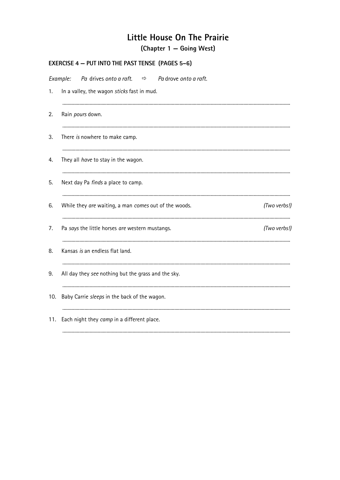## Little House On The Prairie (Chapter 1 – Going West)

|          | <b>EXERCISE 4 - PUT INTO THE PAST TENSE (PAGES 5-6)</b>               |
|----------|-----------------------------------------------------------------------|
| Example: | Pa drives onto a raft.<br>Pa drove onto a raft.<br>$\Rightarrow$      |
| 1.       | In a valley, the wagon sticks fast in mud.                            |
| 2.       | Rain pours down.                                                      |
| 3.       | There is nowhere to make camp.                                        |
| 4.       | They all have to stay in the wagon.                                   |
| 5.       | Next day Pa <i>finds</i> a place to camp.                             |
| 6.       | While they are waiting, a man comes out of the woods.<br>(Two verbs!) |
| 7.       | (Two verbs!)<br>Pa says the little horses are western mustangs.       |
| 8.       | Kansas is an endless flat land.                                       |
| 9.       | All day they see nothing but the grass and the sky.                   |
| 10.      | Baby Carrie sleeps in the back of the wagon.                          |
| 11.      | Each night they camp in a different place.                            |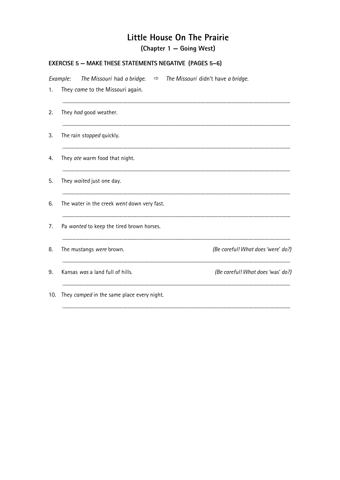## Little House On The Prairie (Chapter 1 – Going West)

### **EXERCISE 5 - MAKE THESE STATEMENTS NEGATIVE (PAGES 5-6)**

|     | Example: The Missouri had a bridge. $\Rightarrow$ The Missouri didn't have a bridge. |                                    |
|-----|--------------------------------------------------------------------------------------|------------------------------------|
| 1.  | They came to the Missouri again.                                                     |                                    |
| 2.  | They had good weather.                                                               |                                    |
| 3.  | The rain stopped quickly.                                                            |                                    |
| 4.  | They ate warm food that night.                                                       |                                    |
| 5.  | They waited just one day.                                                            |                                    |
| 6.  | The water in the creek went down very fast.                                          |                                    |
| 7.  | Pa wanted to keep the tired brown horses.                                            |                                    |
| 8.  | The mustangs were brown.                                                             | (Be careful! What does 'were' do?) |
| 9.  | Kansas was a land full of hills.                                                     | (Be careful! What does 'was' do?)  |
| 10. | They camped in the same place every night.                                           |                                    |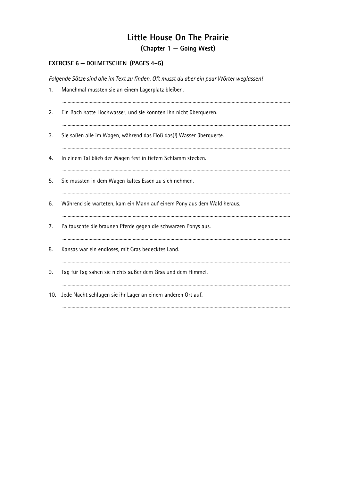### Little House On The Prairie (Chapter 1 - Going West)

### **EXERCISE 6 - DOLMETSCHEN (PAGES 4-5)**

Folgende Sätze sind alle im Text zu finden. Oft musst du aber ein paar Wörter weglassen!

| 1.  | Manchmal mussten sie an einem Lagerplatz bleiben.                      |
|-----|------------------------------------------------------------------------|
| 2.  | Ein Bach hatte Hochwasser, und sie konnten ihn nicht überqueren.       |
| 3.  | Sie saßen alle im Wagen, während das Floß das(!) Wasser überquerte.    |
| 4.  | In einem Tal blieb der Wagen fest in tiefem Schlamm stecken.           |
| 5.  | Sie mussten in dem Wagen kaltes Essen zu sich nehmen.                  |
| 6.  | Während sie warteten, kam ein Mann auf einem Pony aus dem Wald heraus. |
| 7.  | Pa tauschte die braunen Pferde gegen die schwarzen Ponys aus.          |
| 8.  | Kansas war ein endloses, mit Gras bedecktes Land.                      |
| 9.  | Tag für Tag sahen sie nichts außer dem Gras und dem Himmel.            |
| 10. | Jede Nacht schlugen sie ihr Lager an einem anderen Ort auf.            |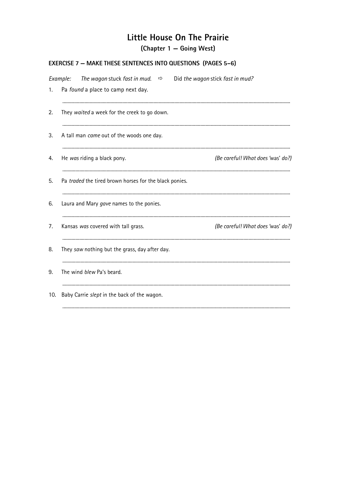(Chapter 1 – Going West)

### **EXERCISE 7 - MAKE THESE SENTENCES INTO QUESTIONS (PAGES 5-6)**

|     | Example: The wagon stuck fast in mud. $\Rightarrow$ Did the wagon stick fast in mud? |
|-----|--------------------------------------------------------------------------------------|
| 1.  | Pa found a place to camp next day.                                                   |
| 2.  | They waited a week for the creek to go down.                                         |
| 3.  | A tall man came out of the woods one day.                                            |
| 4.  | He was riding a black pony.<br>(Be careful! What does 'was' do?)                     |
| 5.  | Pa traded the tired brown horses for the black ponies.                               |
| 6.  | Laura and Mary gave names to the ponies.                                             |
| 7.  | Kansas was covered with tall grass.<br>(Be careful! What does 'was' do?)             |
| 8.  | They saw nothing but the grass, day after day.                                       |
| 9.  | The wind blew Pa's beard.                                                            |
| 10. | Baby Carrie slept in the back of the wagon.                                          |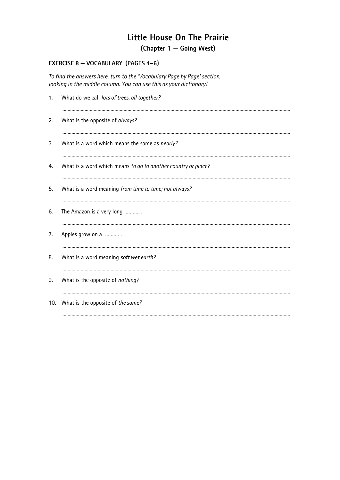(Chapter 1 - Going West)

### EXERCISE 8 - VOCABULARY (PAGES 4-6)

To find the answers here, turn to the 'Vocabulary Page by Page' section, looking in the middle column. You can use this as your dictionary!

| 1.  | What do we call lots of trees, all together?                  |
|-----|---------------------------------------------------------------|
| 2.  | What is the opposite of always?                               |
| 3.  | What is a word which means the same as nearly?                |
| 4.  | What is a word which means to go to another country or place? |
| 5.  | What is a word meaning from time to time; not always?         |
| 6.  | The Amazon is a very long                                     |
| 7.  | Apples grow on a                                              |
| 8.  | What is a word meaning soft wet earth?                        |
| 9.  | What is the opposite of nothing?                              |
| 10. | What is the opposite of the same?                             |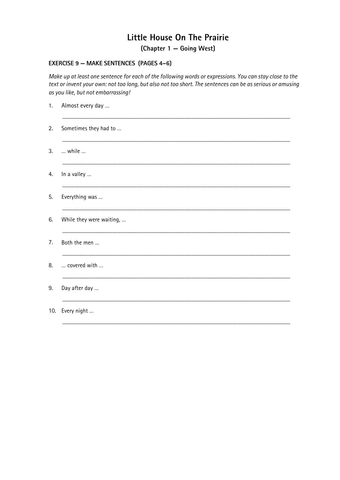(Chapter 1 - Going West)

#### **EXERCISE 9 - MAKE SENTENCES (PAGES 4-6)**

Make up at least one sentence for each of the following words or expressions. You can stay close to the text or invent your own: not too long, but also not too short. The sentences can be as serious or amusing as you like, but not embarrassing!

| 1. | Almost every day         |
|----|--------------------------|
| 2. | Sometimes they had to    |
| 3. | while                    |
| 4. | In a valley              |
| 5. | Everything was           |
| 6. | While they were waiting, |
| 7. | Both the men             |
| 8. | covered with             |
| 9. | Day after day            |
|    | 10. Every night          |
|    |                          |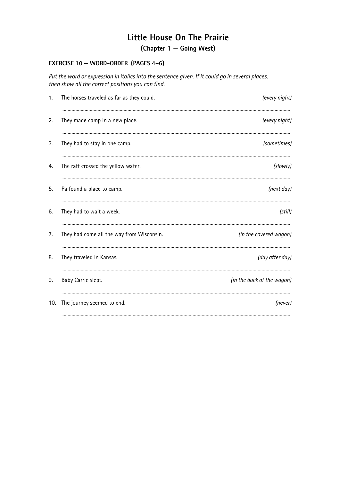(Chapter 1 - Going West)

### EXERCISE 10 - WORD-ORDER (PAGES 4-6)

Put the word or expression in italics into the sentence given. If it could go in several places, then show all the correct positions you can find.

| 1.  | The horses traveled as far as they could. | (every night)              |
|-----|-------------------------------------------|----------------------------|
| 2.  | They made camp in a new place.            | (every night)              |
| 3.  | They had to stay in one camp.             | (sometimes)                |
| 4.  | The raft crossed the yellow water.        | (slowly)                   |
| 5.  | Pa found a place to camp.                 | (next day)                 |
| 6.  | They had to wait a week.                  | (still)                    |
| 7.  | They had come all the way from Wisconsin. | (in the covered wagon)     |
| 8.  | They traveled in Kansas.                  | (day after day)            |
| 9.  | Baby Carrie slept.                        | (in the back of the wagon) |
| 10. | The journey seemed to end.                | (never)                    |
|     |                                           |                            |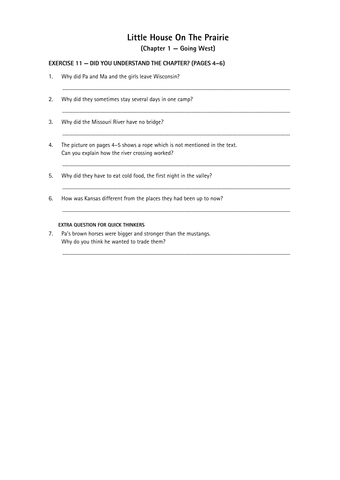(Chapter 1 - Going West)

### **EXERCISE 11 - DID YOU UNDERSTAND THE CHAPTER? (PAGES 4-6)**

| 1. | Why did Pa and Ma and the girls leave Wisconsin?                                                                            |
|----|-----------------------------------------------------------------------------------------------------------------------------|
| 2. | Why did they sometimes stay several days in one camp?                                                                       |
| 3. | Why did the Missouri River have no bridge?                                                                                  |
| 4. | The picture on pages 4–5 shows a rope which is not mentioned in the text.<br>Can you explain how the river crossing worked? |
| 5. | Why did they have to eat cold food, the first night in the valley?                                                          |
| 6. | How was Kansas different from the places they had been up to now?                                                           |
|    | <b>EXTRA QUESTION FOR QUICK THINKERS</b>                                                                                    |
| 7. | Pa's brown horses were bigger and stronger than the mustangs.<br>Why do you think he wanted to trade them?                  |
|    |                                                                                                                             |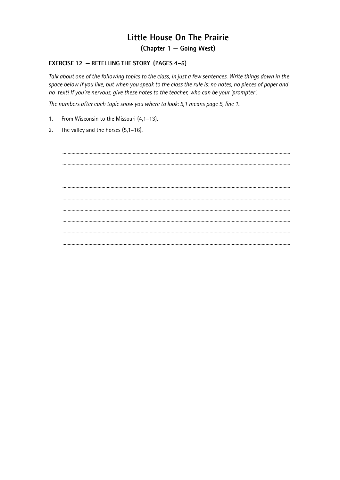(Chapter 1 - Going West)

#### **EXERCISE 12 - RETELLING THE STORY (PAGES 4-5)**

Talk about one of the following topics to the class, in just a few sentences. Write things down in the space below if you like, but when you speak to the class the rule is: no notes, no pieces of paper and no text! If you're nervous, give these notes to the teacher, who can be your 'prompter'.

The numbers after each topic show you where to look: 5,1 means page 5, line 1.

- From Wisconsin to the Missouri (4,1-13).  $1.$
- The valley and the horses  $(5,1-16)$ .  $2.$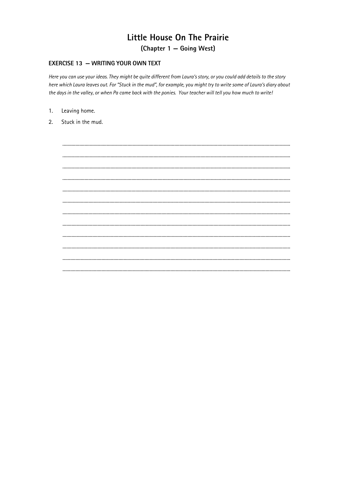(Chapter 1 - Going West)

#### **EXERCISE 13 - WRITING YOUR OWN TEXT**

Here you can use your ideas. They might be quite different from Laura's story, or you could add details to the story here which Laura leaves out. For "Stuck in the mud", for example, you might try to write some of Laura's diary about the days in the valley, or when Pa came back with the ponies. Your teacher will tell you how much to write!

- Leaving home.  $1.$
- $2.$ Stuck in the mud.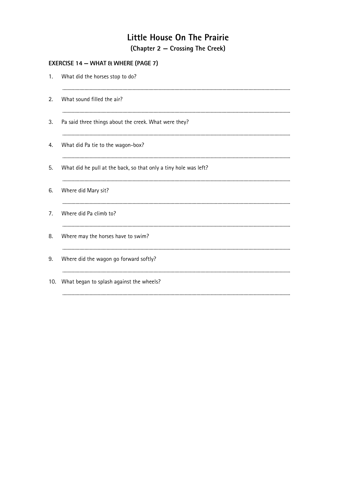## Little House On The Prairie (Chapter 2 – Crossing The Creek)

| What did the horses stop to do?                                  |
|------------------------------------------------------------------|
| What sound filled the air?                                       |
| Pa said three things about the creek. What were they?            |
| What did Pa tie to the wagon-box?                                |
| What did he pull at the back, so that only a tiny hole was left? |
| Where did Mary sit?                                              |
| Where did Pa climb to?                                           |
| Where may the horses have to swim?                               |
| Where did the wagon go forward softly?                           |
| What began to splash against the wheels?                         |
|                                                                  |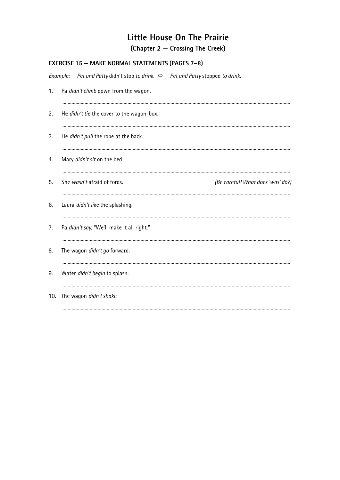(Chapter 2 - Crossing The Creek)

|     | Example:<br>Pet and Patty didn't stop to drink. $\Rightarrow$ Pet and Patty stopped to drink. |                                   |
|-----|-----------------------------------------------------------------------------------------------|-----------------------------------|
| 1.  | Pa didn't climb down from the wagon.                                                          |                                   |
| 2.  | He didn't tie the cover to the wagon-box.                                                     |                                   |
| 3.  | He didn't pull the rope at the back.                                                          |                                   |
| 4.  | Mary didn't sit on the bed.                                                                   |                                   |
| 5.  | She wasn't afraid of fords.                                                                   | (Be careful! What does 'was' do?) |
| 6.  | Laura didn't like the splashing.                                                              |                                   |
| 7.  | Pa didn't say, "We'll make it all right."                                                     |                                   |
| 8.  | The wagon didn't go forward.                                                                  |                                   |
| 9.  | Water didn't begin to splash.                                                                 |                                   |
| 10. | The wagon didn't shake.                                                                       |                                   |
|     |                                                                                               |                                   |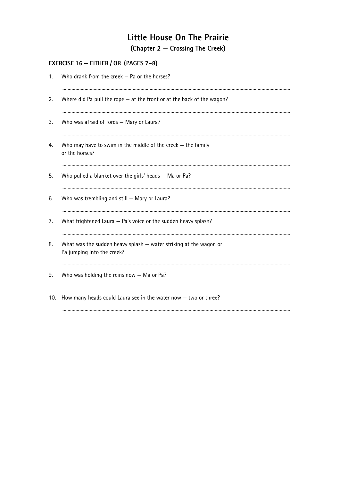### Little House On The Prairie  $(Chapter 2 - Crossina The Creek)$

| EXERCISE 16 - EITHER / OR (PAGES 7-8) |                                                                                                 |  |  |  |  |
|---------------------------------------|-------------------------------------------------------------------------------------------------|--|--|--|--|
| 1.                                    | Who drank from the creek - Pa or the horses?                                                    |  |  |  |  |
| 2.                                    | Where did Pa pull the rope $-$ at the front or at the back of the wagon?                        |  |  |  |  |
| 3.                                    | Who was afraid of fords - Mary or Laura?                                                        |  |  |  |  |
| 4.                                    | Who may have to swim in the middle of the creek $-$ the family<br>or the horses?                |  |  |  |  |
| 5.                                    | Who pulled a blanket over the girls' heads - Ma or Pa?                                          |  |  |  |  |
| 6.                                    | Who was trembling and still - Mary or Laura?                                                    |  |  |  |  |
| 7.                                    | What frightened Laura - Pa's voice or the sudden heavy splash?                                  |  |  |  |  |
| 8.                                    | What was the sudden heavy splash - water striking at the wagon or<br>Pa jumping into the creek? |  |  |  |  |
| 9.                                    | Who was holding the reins now $-$ Ma or Pa?                                                     |  |  |  |  |
| 10.                                   | How many heads could Laura see in the water now $-$ two or three?                               |  |  |  |  |
|                                       |                                                                                                 |  |  |  |  |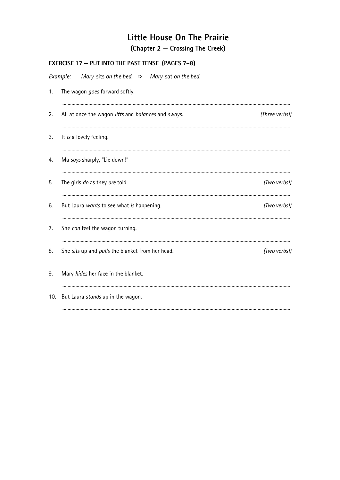(Chapter 2 - Crossing The Creek)

|     | EXERCISE 17 - PUT INTO THE PAST TENSE (PAGES 7-8)                    |                |
|-----|----------------------------------------------------------------------|----------------|
|     | Mary sits on the bed. $\Rightarrow$ Mary sat on the bed.<br>Example: |                |
| 1.  | The wagon goes forward softly.                                       |                |
| 2.  | All at once the wagon lifts and balances and sways.                  | (Three verbs!) |
| 3.  | It is a lovely feeling.                                              |                |
| 4.  | Ma says sharply, "Lie down!"                                         |                |
| 5.  | The girls do as they are told.                                       | (Two verbs!)   |
| 6.  | But Laura wants to see what is happening.                            | (Two verbs!)   |
| 7.  | She can feel the wagon turning.                                      |                |
| 8.  | She sits up and pulls the blanket from her head.                     | (Two verbs!)   |
| 9.  | Mary hides her face in the blanket.                                  |                |
| 10. | But Laura stands up in the wagon.                                    |                |
|     |                                                                      |                |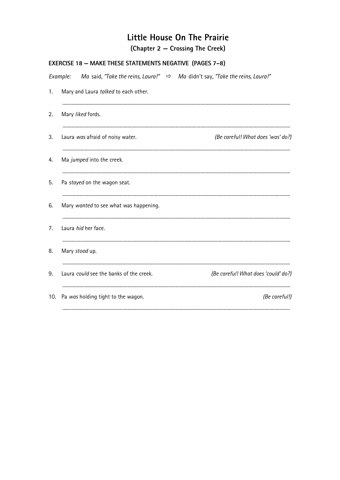(Chapter 2 – Crossing The Creek)

| <b>EXERCISE 18 - MAKE THESE STATEMENTS NEGATIVE (PAGES 7-8)</b> |                                         |  |                                                                                         |  |
|-----------------------------------------------------------------|-----------------------------------------|--|-----------------------------------------------------------------------------------------|--|
|                                                                 | Example:                                |  | Ma said, "Take the reins, Laura!" $\Rightarrow$ Ma didn't say, "Take the reins, Laura!" |  |
| 1.                                                              | Mary and Laura talked to each other.    |  |                                                                                         |  |
| 2.                                                              | Mary liked fords.                       |  |                                                                                         |  |
| 3.                                                              | Laura was afraid of noisy water.        |  | (Be careful! What does 'was' do?)                                                       |  |
| 4.                                                              | Ma jumped into the creek.               |  |                                                                                         |  |
| 5.                                                              | Pa stayed on the wagon seat.            |  |                                                                                         |  |
| 6.                                                              | Mary wanted to see what was happening.  |  |                                                                                         |  |
| 7.                                                              | Laura hid her face.                     |  |                                                                                         |  |
| 8.                                                              | Mary stood up.                          |  |                                                                                         |  |
| 9.                                                              | Laura could see the banks of the creek. |  | (Be careful! What does 'could' do?)                                                     |  |
| 10.                                                             | Pa was holding tight to the wagon.      |  | (Be careful!)                                                                           |  |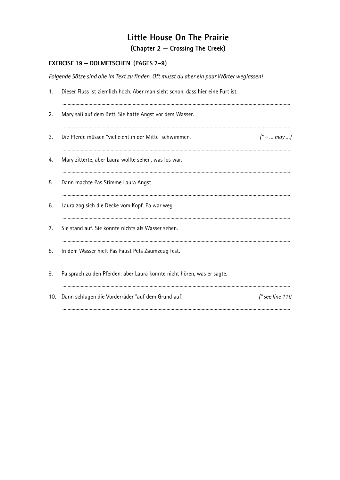(Chapter 2 – Crossing The Creek)

### EXERCISE 19 - DOLMETSCHEN (PAGES 7-9)

Folgende Sätze sind alle im Text zu finden. Oft musst du aber ein paar Wörter weglassen!

| 1.  | Dieser Fluss ist ziemlich hoch. Aber man sieht schon, dass hier eine Furt ist. |                    |
|-----|--------------------------------------------------------------------------------|--------------------|
| 2.  | Mary saß auf dem Bett. Sie hatte Angst vor dem Wasser.                         |                    |
| 3.  | Die Pferde müssen *vielleicht in der Mitte schwimmen.                          | $(* = $ may        |
| 4.  | Mary zitterte, aber Laura wollte sehen, was los war.                           |                    |
| 5.  | Dann machte Pas Stimme Laura Angst.                                            |                    |
| 6.  | Laura zog sich die Decke vom Kopf. Pa war weg.                                 |                    |
| 7.  | Sie stand auf. Sie konnte nichts als Wasser sehen.                             |                    |
| 8.  | In dem Wasser hielt Pas Faust Pets Zaumzeug fest.                              |                    |
| 9.  | Pa sprach zu den Pferden, aber Laura konnte nicht hören, was er sagte.         |                    |
| 10. | Dann schlugen die Vorderräder *auf dem Grund auf.                              | $(*$ see line 11!) |
|     |                                                                                |                    |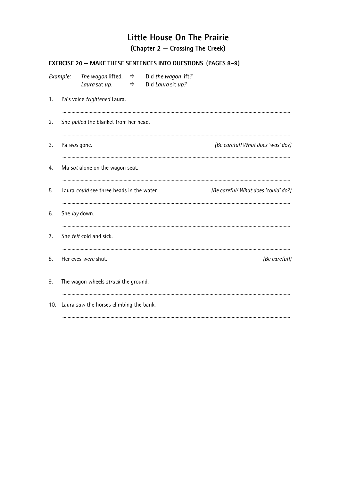(Chapter 2 – Crossing The Creek)

|     |              |                                                                   | <b>EXERCISE 20 - MAKE THESE SENTENCES INTO QUESTIONS (PAGES 8-9)</b> |                                     |
|-----|--------------|-------------------------------------------------------------------|----------------------------------------------------------------------|-------------------------------------|
|     | Example:     | The wagon lifted. $\Rightarrow$<br>Laura sat up.<br>$\Rightarrow$ | Did the wagon lift?<br>Did Laura sit up?                             |                                     |
| 1.  |              | Pa's voice frightened Laura.                                      |                                                                      |                                     |
| 2.  |              | She pulled the blanket from her head.                             |                                                                      |                                     |
| 3.  | Pa was gone. |                                                                   |                                                                      | (Be careful! What does 'was' do?)   |
| 4.  |              | Ma sat alone on the wagon seat.                                   |                                                                      |                                     |
| 5.  |              | Laura could see three heads in the water.                         |                                                                      | (Be careful! What does 'could' do?) |
| 6.  |              | She lay down.                                                     |                                                                      |                                     |
| 7.  |              | She felt cold and sick.                                           |                                                                      |                                     |
| 8.  |              | Her eyes were shut.                                               |                                                                      | (Be careful!)                       |
| 9.  |              | The wagon wheels struck the ground.                               |                                                                      |                                     |
| 10. |              | Laura saw the horses climbing the bank.                           |                                                                      |                                     |
|     |              |                                                                   |                                                                      |                                     |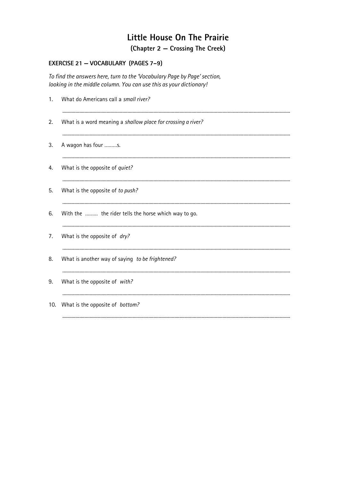(Chapter 2 – Crossing The Creek)

### EXERCISE 21 - VOCABULARY (PAGES 7-9)

To find the answers here, turn to the 'Vocabulary Page by Page' section, looking in the middle column. You can use this as your dictionary!

| 1.  | What do Americans call a small river?                        |
|-----|--------------------------------------------------------------|
| 2.  | What is a word meaning a shallow place for crossing a river? |
| 3.  | A wagon has four s.                                          |
| 4.  | What is the opposite of quiet?                               |
| 5.  | What is the opposite of to push?                             |
| 6.  | With the  the rider tells the horse which way to go.         |
| 7.  | What is the opposite of dry?                                 |
| 8.  | What is another way of saying to be frightened?              |
| 9.  | What is the opposite of with?                                |
| 10. | What is the opposite of bottom?                              |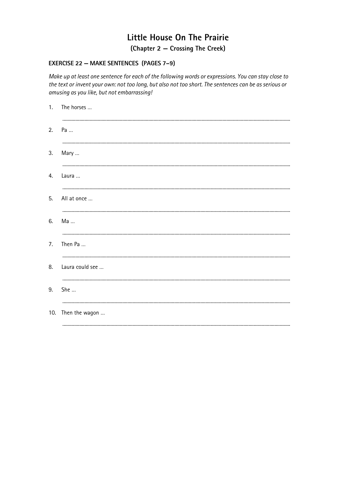(Chapter 2 – Crossing The Creek)

#### **EXERCISE 22 - MAKE SENTENCES (PAGES 7-9)**

Make up at least one sentence for each of the following words or expressions. You can stay close to the text or invent your own: not too long, but also not too short. The sentences can be as serious or amusing as you like, but not embarrassing!

|    | 1. The horses      |
|----|--------------------|
|    | 2. Pa              |
| 3. | Mary               |
|    | 4. Laura           |
|    | 5. All at once     |
| 6. | <br>Ma             |
| 7. | <br>Then Pa        |
| 8. | Laura could see    |
| 9. | She                |
|    | 10. Then the wagon |
|    |                    |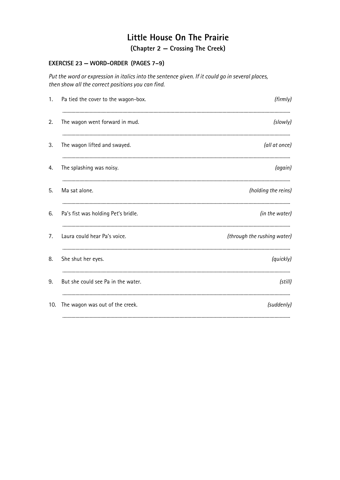(Chapter 2 – Crossing The Creek)

#### EXERCISE 23 - WORD-ORDER (PAGES 7-9)

Put the word or expression in italics into the sentence given. If it could go in several places, then show all the correct positions you can find.

| 1.  | Pa tied the cover to the wagon-box. | (firmly)                    |
|-----|-------------------------------------|-----------------------------|
| 2.  | The wagon went forward in mud.      | (slowly)                    |
| 3.  | The wagon lifted and swayed.        | (all at once)               |
| 4.  | The splashing was noisy.            | (again)                     |
| 5.  | Ma sat alone.                       | (holding the reins)         |
| 6.  | Pa's fist was holding Pet's bridle. | (in the water)              |
| 7.  | Laura could hear Pa's voice.        | (through the rushing water) |
| 8.  | She shut her eyes.                  | (quickly)                   |
| 9.  | But she could see Pa in the water.  | (still)                     |
| 10. | The wagon was out of the creek.     | (suddenly)                  |
|     |                                     |                             |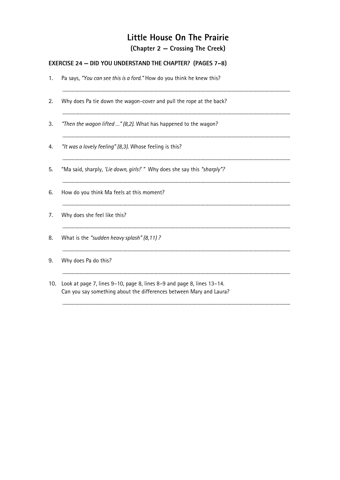### (Chapter 2 – Crossing The Creek)

### EXERCISE 24 - DID YOU UNDERSTAND THE CHAPTER? (PAGES 7-8)

| 1.  | Pa says, "You can see this is a ford." How do you think he knew this?                                                                         |
|-----|-----------------------------------------------------------------------------------------------------------------------------------------------|
| 2.  | Why does Pa tie down the wagon-cover and pull the rope at the back?                                                                           |
| 3.  | "Then the wagon lifted " (8,2). What has happened to the wagon?                                                                               |
| 4.  | "It was a lovely feeling" (8,3). Whose feeling is this?                                                                                       |
| 5.  | "Ma said, sharply, 'Lie down, girls!' " Why does she say this "sharply"?                                                                      |
| 6.  | How do you think Ma feels at this moment?                                                                                                     |
| 7.  | Why does she feel like this?                                                                                                                  |
| 8.  | What is the "sudden heavy splash" (8,11)?                                                                                                     |
| 9.  | Why does Pa do this?                                                                                                                          |
| 10. | Look at page 7, lines 9–10, page 8, lines 8–9 and page 8, lines 13–14.<br>Can you say something about the differences between Mary and Laura? |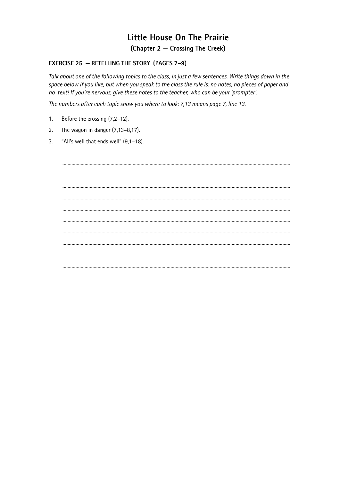### Little House On The Prairie (Chapter 2 – Crossing The Creek)

#### **EXERCISE 25 - RETELLING THE STORY (PAGES 7-9)**

Talk about one of the following topics to the class, in just a few sentences. Write things down in the space below if you like, but when you speak to the class the rule is: no notes, no pieces of paper and no text! If you're nervous, give these notes to the teacher, who can be your 'prompter'.

The numbers after each topic show you where to look: 7,13 means page 7, line 13.

- Before the crossing (7,2-12).  $1.$
- The wagon in danger  $(7, 13-8, 17)$ .  $2.$
- $\overline{3}$ . "All's well that ends well" (9,1-18).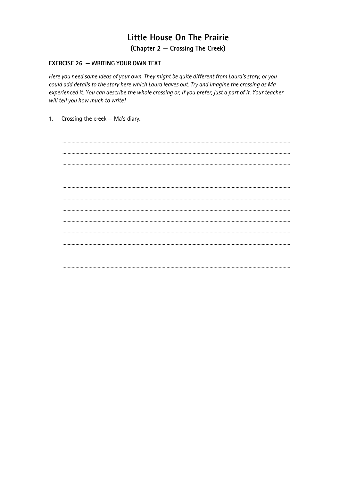### Little House On The Prairie (Chapter 2 – Crossing The Creek)

#### **EXERCISE 26 - WRITING YOUR OWN TEXT**

Here you need some ideas of your own. They might be quite different from Laura's story, or you could add details to the story here which Laura leaves out. Try and imagine the crossing as Ma experienced it. You can describe the whole crossing or, if you prefer, just a part of it. Your teacher will tell you how much to write!

Crossing the creek - Ma's diary.  $1<sub>1</sub>$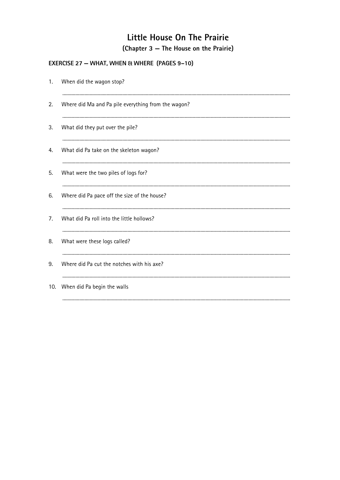### **EXERCISE 27 - WHAT, WHEN & WHERE (PAGES 9-10)**

| 1.  | When did the wagon stop?                            |
|-----|-----------------------------------------------------|
| 2.  | Where did Ma and Pa pile everything from the wagon? |
| 3.  | What did they put over the pile?                    |
| 4.  | What did Pa take on the skeleton wagon?             |
| 5.  | What were the two piles of logs for?                |
| 6.  | Where did Pa pace off the size of the house?        |
| 7.  | What did Pa roll into the little hollows?           |
| 8.  | What were these logs called?                        |
| 9.  | Where did Pa cut the notches with his axe?          |
| 10. | When did Pa begin the walls                         |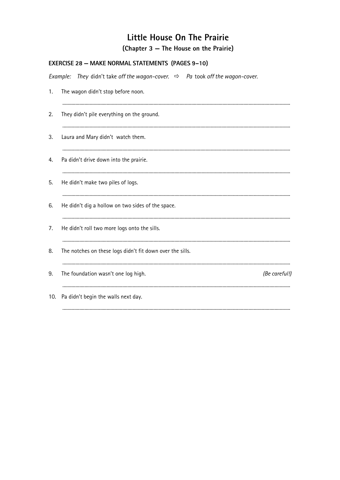| <b>EXERCISE 28 - MAKE NORMAL STATEMENTS (PAGES 9-10)</b> |                                                                                           |  |  |  |
|----------------------------------------------------------|-------------------------------------------------------------------------------------------|--|--|--|
|                                                          | Example: They didn't take off the wagon-cover. $\Rightarrow$ Pa took off the wagon-cover. |  |  |  |
| 1.                                                       | The wagon didn't stop before noon.                                                        |  |  |  |
| 2.                                                       | They didn't pile everything on the ground.                                                |  |  |  |
| 3.                                                       | Laura and Mary didn't watch them.                                                         |  |  |  |
| 4.                                                       | Pa didn't drive down into the prairie.                                                    |  |  |  |
| 5.                                                       | He didn't make two piles of logs.                                                         |  |  |  |
| 6.                                                       | He didn't dig a hollow on two sides of the space.                                         |  |  |  |
| 7.                                                       | He didn't roll two more logs onto the sills.                                              |  |  |  |
| 8.                                                       | The notches on these logs didn't fit down over the sills.                                 |  |  |  |
| 9.                                                       | The foundation wasn't one log high.<br>(Be careful!)                                      |  |  |  |
| 10.                                                      | Pa didn't begin the walls next day.                                                       |  |  |  |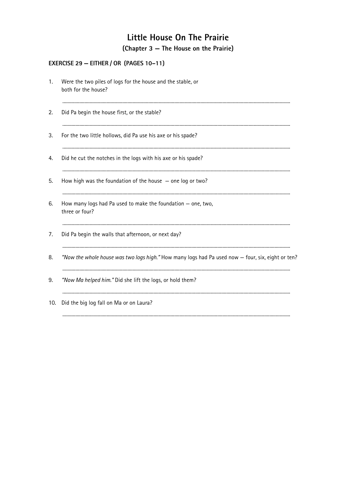### EXERCISE 29 - EITHER / OR (PAGES 10-11)

| 1.  | Were the two piles of logs for the house and the stable, or<br>both for the house?                |
|-----|---------------------------------------------------------------------------------------------------|
| 2.  | Did Pa begin the house first, or the stable?                                                      |
| 3.  | For the two little hollows, did Pa use his axe or his spade?                                      |
| 4.  | Did he cut the notches in the logs with his axe or his spade?                                     |
| 5.  | How high was the foundation of the house $-$ one log or two?                                      |
| 6.  | How many logs had Pa used to make the foundation $-$ one, two,<br>three or four?                  |
| 7.  | Did Pa begin the walls that afternoon, or next day?                                               |
| 8.  | "Now the whole house was two logs high." How many logs had Pa used now - four, six, eight or ten? |
| 9.  | "Now Ma helped him." Did she lift the logs, or hold them?                                         |
| 10. | Did the big log fall on Ma or on Laura?                                                           |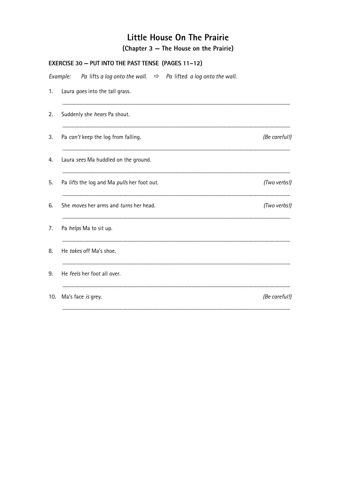| <b>EXERCISE 30 - PUT INTO THE PAST TENSE (PAGES 11-12)</b> |                                                                                        |               |  |  |
|------------------------------------------------------------|----------------------------------------------------------------------------------------|---------------|--|--|
|                                                            | Example:<br>Pa lifts a log onto the wall. $\Rightarrow$ Pa lifted a log onto the wall. |               |  |  |
| 1.                                                         | Laura goes into the tall grass.                                                        |               |  |  |
| 2.                                                         | Suddenly she hears Pa shout.                                                           |               |  |  |
| 3.                                                         | Pa can't keep the log from falling.                                                    | (Be careful!) |  |  |
| 4.                                                         | Laura sees Ma huddled on the ground.                                                   |               |  |  |
| 5.                                                         | Pa lifts the log and Ma pulls her foot out.                                            | (Two verbs!)  |  |  |
| 6.                                                         | She <i>moves</i> her arms and <i>turns</i> her head.                                   | (Two verbs!)  |  |  |
| 7.                                                         | Pa helps Ma to sit up.                                                                 |               |  |  |
| 8.                                                         | He takes off Ma's shoe.                                                                |               |  |  |
| 9.                                                         | He feels her foot all over.                                                            |               |  |  |
| 10.                                                        | Ma's face is grey.                                                                     | (Be careful!) |  |  |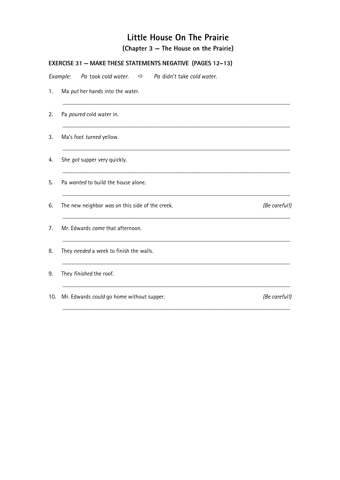|     | EXERCISE 31 - MAKE THESE STATEMENTS NEGATIVE (PAGES 12-13)               |  |  |  |  |  |
|-----|--------------------------------------------------------------------------|--|--|--|--|--|
|     | Pa took cold water. $\Rightarrow$ Pa didn't take cold water.<br>Example: |  |  |  |  |  |
| 1.  | Ma put her hands into the water.                                         |  |  |  |  |  |
| 2.  | Pa poured cold water in.                                                 |  |  |  |  |  |
| 3.  | Ma's foot turned yellow.                                                 |  |  |  |  |  |
| 4.  | She got supper very quickly.                                             |  |  |  |  |  |
| 5.  | Pa wanted to build the house alone.                                      |  |  |  |  |  |
| 6.  | The new neighbor was on this side of the creek.<br>(Be careful!)         |  |  |  |  |  |
| 7.  | Mr. Edwards came that afternoon.                                         |  |  |  |  |  |
| 8.  | They needed a week to finish the walls.                                  |  |  |  |  |  |
| 9.  | They finished the roof.                                                  |  |  |  |  |  |
| 10. | Mr. Edwards could go home without supper.<br>(Be careful!)               |  |  |  |  |  |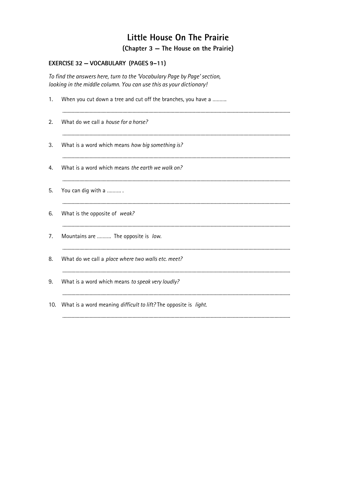### EXERCISE 32 - VOCABULARY (PAGES 9-11)

To find the answers here, turn to the 'Vocabulary Page by Page' section, looking in the middle column. You can use this as your dictionary!

| 1. | When you cut down a tree and cut off the branches, you have a        |  |  |
|----|----------------------------------------------------------------------|--|--|
| 2. | What do we call a house for a horse?                                 |  |  |
| 3. | What is a word which means how big something is?                     |  |  |
| 4. | What is a word which means the earth we walk on?                     |  |  |
| 5. | You can dig with a                                                   |  |  |
| 6. | What is the opposite of weak?                                        |  |  |
| 7. | Mountains are  The opposite is low.                                  |  |  |
| 8. | What do we call a place where two walls etc. meet?                   |  |  |
| 9. | What is a word which means to speak very loudly?                     |  |  |
|    | 10. What is a word meaning difficult to lift? The opposite is light. |  |  |
|    |                                                                      |  |  |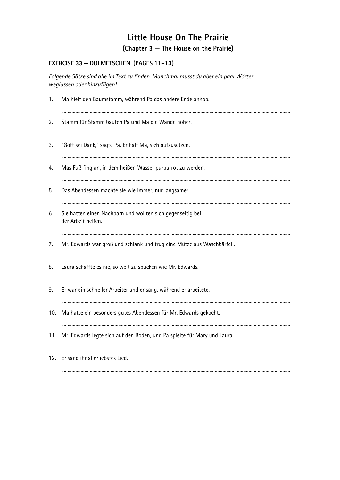### EXERCISE 33 - DOLMETSCHEN (PAGES 11-13)

Folgende Sätze sind alle im Text zu finden. Manchmal musst du aber ein paar Wörter weglassen oder hinzufügen!

| 1.  | Ma hielt den Baumstamm, während Pa das andere Ende anhob.                        |  |  |  |
|-----|----------------------------------------------------------------------------------|--|--|--|
| 2.  | Stamm für Stamm bauten Pa und Ma die Wände höher.                                |  |  |  |
| 3.  | "Gott sei Dank," sagte Pa. Er half Ma, sich aufzusetzen.                         |  |  |  |
| 4.  | Mas Fuß fing an, in dem heißen Wasser purpurrot zu werden.                       |  |  |  |
| 5.  | Das Abendessen machte sie wie immer, nur langsamer.                              |  |  |  |
| 6.  | Sie hatten einen Nachbarn und wollten sich gegenseitig bei<br>der Arbeit helfen. |  |  |  |
| 7.  | Mr. Edwards war groß und schlank und trug eine Mütze aus Waschbärfell.           |  |  |  |
| 8.  | Laura schaffte es nie, so weit zu spucken wie Mr. Edwards.                       |  |  |  |
| 9.  | Er war ein schneller Arbeiter und er sang, während er arbeitete.                 |  |  |  |
| 10. | Ma hatte ein besonders gutes Abendessen für Mr. Edwards gekocht.                 |  |  |  |
| 11. | Mr. Edwards legte sich auf den Boden, und Pa spielte für Mary und Laura.         |  |  |  |
|     | 12. Er sang ihr allerliebstes Lied.                                              |  |  |  |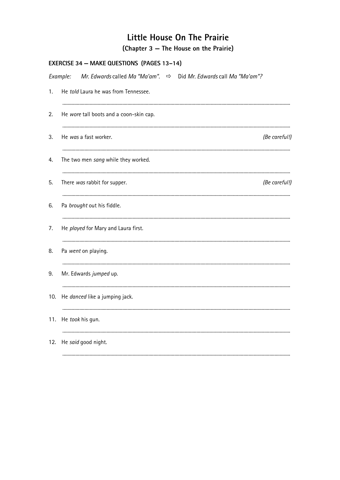|     | EXERCISE 34 - MAKE QUESTIONS (PAGES 13-14)                                                   |               |  |  |
|-----|----------------------------------------------------------------------------------------------|---------------|--|--|
|     | Mr. Edwards called Ma "Ma'am". $\Rightarrow$<br>Did Mr. Edwards call Ma "Ma'am"?<br>Example: |               |  |  |
| 1.  | He told Laura he was from Tennessee.                                                         |               |  |  |
| 2.  | He wore tall boots and a coon-skin cap.                                                      |               |  |  |
| 3.  | He was a fast worker.                                                                        | (Be careful!) |  |  |
| 4.  | The two men sang while they worked.                                                          |               |  |  |
| 5.  | There was rabbit for supper.                                                                 | (Be careful!) |  |  |
| 6.  | Pa brought out his fiddle.                                                                   |               |  |  |
| 7.  | He played for Mary and Laura first.                                                          |               |  |  |
| 8.  | Pa went on playing.                                                                          |               |  |  |
| 9.  | Mr. Edwards jumped up.                                                                       |               |  |  |
| 10. | He danced like a jumping jack.                                                               |               |  |  |
| 11. | He took his gun.                                                                             |               |  |  |
| 12. | He said good night.                                                                          |               |  |  |
|     |                                                                                              |               |  |  |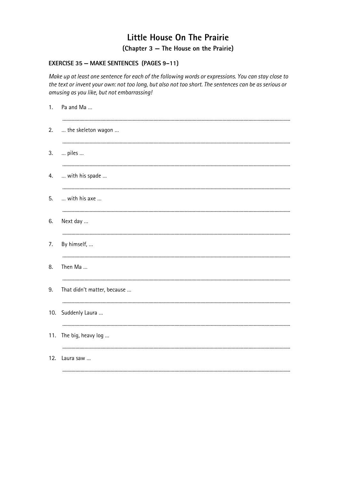#### **EXERCISE 35 - MAKE SENTENCES (PAGES 9-11)**

Make up at least one sentence for each of the following words or expressions. You can stay close to the text or invent your own: not too long, but also not too short. The sentences can be as serious or amusing as you like, but not embarrassing!

| 1.  | Pa and Ma                   |
|-----|-----------------------------|
| 2.  | the skeleton wagon          |
| 3.  | piles                       |
| 4.  | with his spade              |
| 5.  | with his axe                |
| 6.  | Next day                    |
| 7.  | By himself,                 |
| 8.  | Then Ma                     |
| 9.  | That didn't matter, because |
|     | 10. Suddenly Laura          |
| 11. | The big, heavy log          |
| 12. | Laura saw                   |
|     |                             |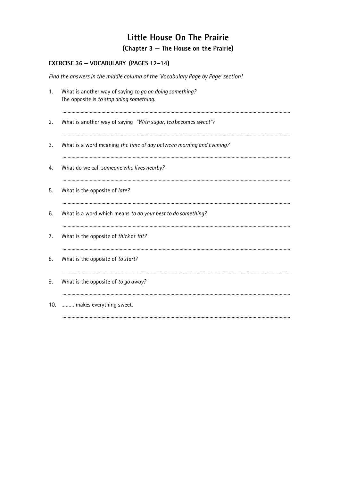#### EXERCISE 36 - VOCABULARY (PAGES 12-14)

Find the answers in the middle column of the 'Vocabulary Page by Page' section! What is another way of saying to go on doing something?  $1.$ The opposite is to stop doing something.  $2.$ What is another way of saying "With sugar, tea becomes sweet"? 3. What is a word meaning the time of day between morning and evening? What do we call someone who lives nearby? 4. 5. What is the opposite of late? 6. What is a word which means to do your best to do something?  $7<sub>1</sub>$ What is the opposite of thick or fat? 8. What is the opposite of to start? 9. What is the opposite of to go away? 10. ......... makes everything sweet.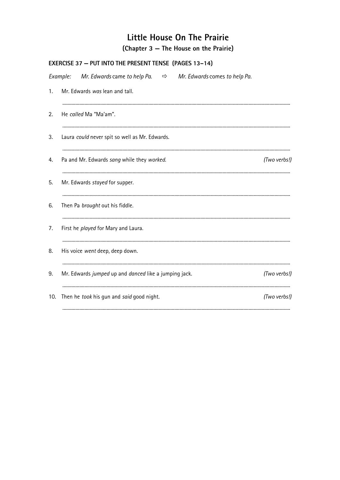|                                                                  | EXERCISE 37 - PUT INTO THE PRESENT TENSE (PAGES 13-14)                   |              |  |  |
|------------------------------------------------------------------|--------------------------------------------------------------------------|--------------|--|--|
| Example:                                                         | Mr. Edwards came to help Pa. $\Rightarrow$ Mr. Edwards comes to help Pa. |              |  |  |
| 1.                                                               | Mr. Edwards was lean and tall.                                           |              |  |  |
| 2.                                                               | He called Ma "Ma'am".                                                    |              |  |  |
| 3.                                                               | Laura could never spit so well as Mr. Edwards.                           |              |  |  |
| 4.                                                               | Pa and Mr. Edwards sang while they worked.                               | (Two verbs!) |  |  |
| 5.                                                               | Mr. Edwards stayed for supper.                                           |              |  |  |
| 6.                                                               | Then Pa brought out his fiddle.                                          |              |  |  |
| 7.                                                               | First he played for Mary and Laura.                                      |              |  |  |
| 8.                                                               | His voice went deep, deep down.                                          |              |  |  |
| 9.                                                               | Mr. Edwards jumped up and danced like a jumping jack.                    | (Two verbs!) |  |  |
| (Two verbs!)<br>Then he took his gun and said good night.<br>10. |                                                                          |              |  |  |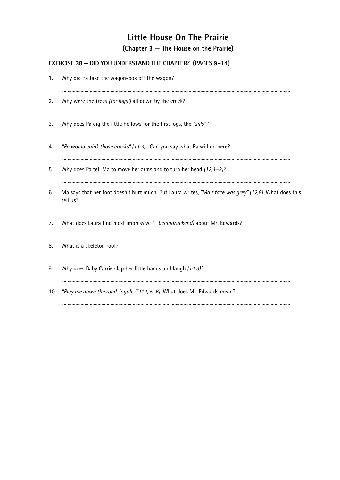### **EXERCISE 38 - DID YOU UNDERSTAND THE CHAPTER?** (PAGES 9-14)

| 1.  | Why did Pa take the wagon-box off the wagon?                                                                       |  |  |  |
|-----|--------------------------------------------------------------------------------------------------------------------|--|--|--|
| 2.  | Why were the trees (for logs!) all down by the creek?                                                              |  |  |  |
| 3.  | Why does Pa dig the little hollows for the first logs, the "sills"?                                                |  |  |  |
| 4.  | "Pa would chink those cracks" (11,3). Can you say what Pa will do here?                                            |  |  |  |
| 5.  | Why does Pa tell Ma to move her arms and to turn her head (12, 1-3)?                                               |  |  |  |
| 6.  | Ma says that her foot doesn't hurt much. But Laura writes, "Ma's face was grey" (12,8). What does this<br>tell us? |  |  |  |
| 7.  | What does Laura find most impressive $(= be e in druckend)$ about Mr. Edwards?                                     |  |  |  |
| 8.  | What is a skeleton roof?                                                                                           |  |  |  |
| 9.  | Why does Baby Carrie clap her little hands and laugh (14,3)?                                                       |  |  |  |
| 10. | "Play me down the road, Ingalls!" (14, 5-6). What does Mr. Edwards mean?                                           |  |  |  |
|     |                                                                                                                    |  |  |  |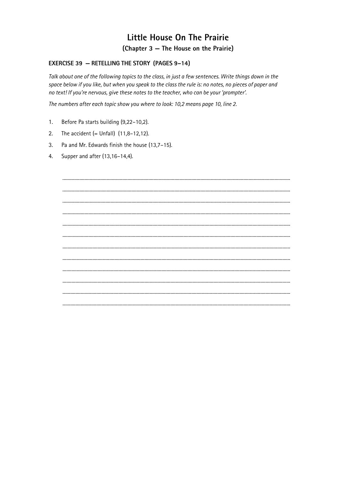#### **EXERCISE 39 - RETELLING THE STORY (PAGES 9-14)**

Talk about one of the following topics to the class, in just a few sentences. Write things down in the space below if you like, but when you speak to the class the rule is: no notes, no pieces of paper and no text! If you're nervous, give these notes to the teacher, who can be your 'prompter'.

The numbers after each topic show you where to look: 10,2 means page 10, line 2.

- $1.$ Before Pa starts building (9,22-10,2).
- The accident  $(= Unfall)$   $(11,8-12,12)$ .  $2.$
- $3.$ Pa and Mr. Edwards finish the house (13,7-15).
- 4. Supper and after (13,16-14,4).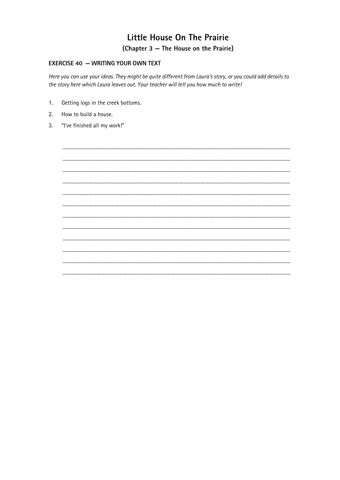#### **EXERCISE 40 - WRITING YOUR OWN TEXT**

Here you can use your ideas. They might be quite different from Laura's story, or you could add details to the story here which Laura leaves out. Your teacher will tell you how much to write!

- $1.$ Getting logs in the creek bottoms.
- How to build a house.  $2.$
- "I've finished all my work!"  $\mathcal{R}$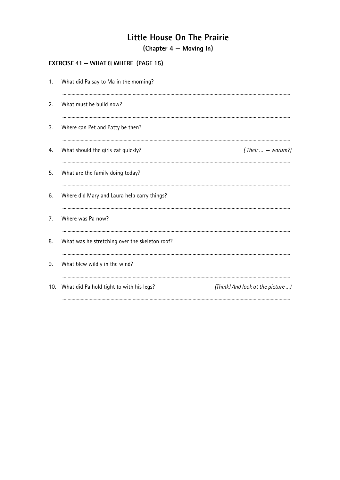(Chapter 4 – Moving In)

### **EXERCISE 41 - WHAT & WHERE (PAGE 15)**

| 1.             | What did Pa say to Ma in the morning?          |                                   |
|----------------|------------------------------------------------|-----------------------------------|
| 2.             | What must he build now?                        |                                   |
| 3.             | Where can Pet and Patty be then?               |                                   |
| 4.             | What should the girls eat quickly?             | (Their $\ldots$ – warum?)         |
| 5.             | What are the family doing today?               |                                   |
| 6.             | Where did Mary and Laura help carry things?    |                                   |
| 7 <sub>1</sub> | Where was Pa now?                              |                                   |
| 8.             | What was he stretching over the skeleton roof? |                                   |
| 9.             | What blew wildly in the wind?                  |                                   |
| 10.            | What did Pa hold tight to with his legs?       | (Think! And look at the picture ) |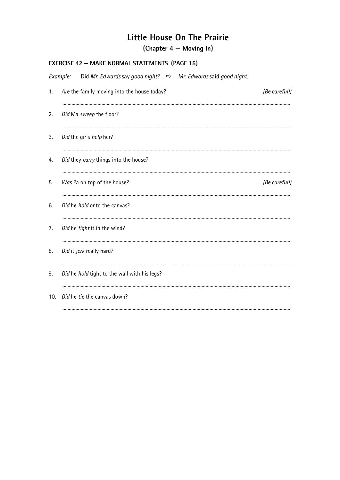(Chapter 4 – Moving In)

| <b>EXERCISE 42 - MAKE NORMAL STATEMENTS (PAGE 15)</b> |  |                                                                            |  |               |
|-------------------------------------------------------|--|----------------------------------------------------------------------------|--|---------------|
| Example:                                              |  | Did Mr. Edwards say good night? $\Rightarrow$ Mr. Edwards said good night. |  |               |
| 1.                                                    |  | Are the family moving into the house today?                                |  | (Be careful!) |
| 2.                                                    |  | Did Ma sweep the floor?                                                    |  |               |
| 3.                                                    |  | Did the girls help her?                                                    |  |               |
| 4.                                                    |  | Did they carry things into the house?                                      |  |               |
| 5.                                                    |  | Was Pa on top of the house?                                                |  | (Be careful!) |
| 6.                                                    |  | Did he hold onto the canvas?                                               |  |               |
| 7.                                                    |  | Did he fight it in the wind?                                               |  |               |
| 8.                                                    |  | Did it jerk really hard?                                                   |  |               |
| 9.                                                    |  | Did he hold tight to the wall with his legs?                               |  |               |
| 10.                                                   |  | Did he tie the canvas down?                                                |  |               |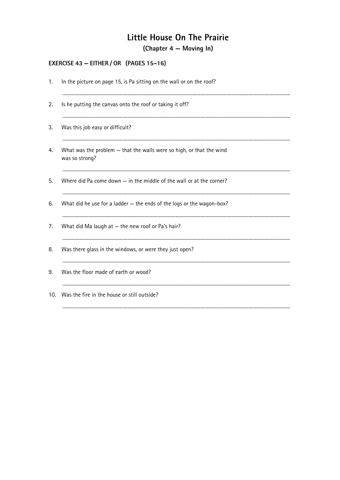(Chapter 4 – Moving In)

# EXERCISE 43 - EITHER / OR (PAGES 15-16)

| 1. | In the picture on page 15, is Pa sitting on the wall or on the roof?                   |  |
|----|----------------------------------------------------------------------------------------|--|
| 2. | Is he putting the canvas onto the roof or taking it off?                               |  |
| 3. | Was this job easy or difficult?                                                        |  |
| 4. | What was the problem - that the walls were so high, or that the wind<br>was so strong? |  |
| 5. | Where did Pa come down $-$ in the middle of the wall or at the corner?                 |  |
| 6. | What did he use for a ladder - the ends of the logs or the wagon-box?                  |  |
| 7. | What did Ma laugh at $-$ the new roof or Pa's hair?                                    |  |
| 8. | Was there glass in the windows, or were they just open?                                |  |
| 9. | Was the floor made of earth or wood?                                                   |  |
|    | 10. Was the fire in the house or still outside?                                        |  |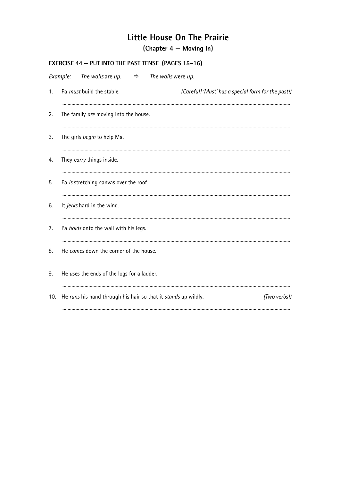(Chapter 4 – Moving In)

| Example:<br>The walls are up. $\Rightarrow$ The walls were up.<br>Pa must build the stable.<br>$\mathbf{1}$ .<br>The family are moving into the house.<br>2.<br>The girls begin to help Ma.<br>3.<br>They carry things inside.<br>4.<br>Pa is stretching canvas over the roof.<br>5.<br>It jerks hard in the wind.<br>6.<br>Pa holds onto the wall with his legs.<br>7.<br>He comes down the corner of the house.<br>8.<br>He uses the ends of the logs for a ladder.<br>9.<br>He runs his hand through his hair so that it stands up wildly.<br>10. | <b>EXERCISE 44 - PUT INTO THE PAST TENSE (PAGES 15-16)</b> |  |                                                    |  |  |
|------------------------------------------------------------------------------------------------------------------------------------------------------------------------------------------------------------------------------------------------------------------------------------------------------------------------------------------------------------------------------------------------------------------------------------------------------------------------------------------------------------------------------------------------------|------------------------------------------------------------|--|----------------------------------------------------|--|--|
|                                                                                                                                                                                                                                                                                                                                                                                                                                                                                                                                                      |                                                            |  |                                                    |  |  |
|                                                                                                                                                                                                                                                                                                                                                                                                                                                                                                                                                      |                                                            |  | (Careful! 'Must' has a special form for the past!) |  |  |
|                                                                                                                                                                                                                                                                                                                                                                                                                                                                                                                                                      |                                                            |  |                                                    |  |  |
|                                                                                                                                                                                                                                                                                                                                                                                                                                                                                                                                                      |                                                            |  |                                                    |  |  |
|                                                                                                                                                                                                                                                                                                                                                                                                                                                                                                                                                      |                                                            |  |                                                    |  |  |
|                                                                                                                                                                                                                                                                                                                                                                                                                                                                                                                                                      |                                                            |  |                                                    |  |  |
|                                                                                                                                                                                                                                                                                                                                                                                                                                                                                                                                                      |                                                            |  |                                                    |  |  |
|                                                                                                                                                                                                                                                                                                                                                                                                                                                                                                                                                      |                                                            |  |                                                    |  |  |
|                                                                                                                                                                                                                                                                                                                                                                                                                                                                                                                                                      |                                                            |  |                                                    |  |  |
|                                                                                                                                                                                                                                                                                                                                                                                                                                                                                                                                                      |                                                            |  |                                                    |  |  |
|                                                                                                                                                                                                                                                                                                                                                                                                                                                                                                                                                      |                                                            |  | (Two verbs!)                                       |  |  |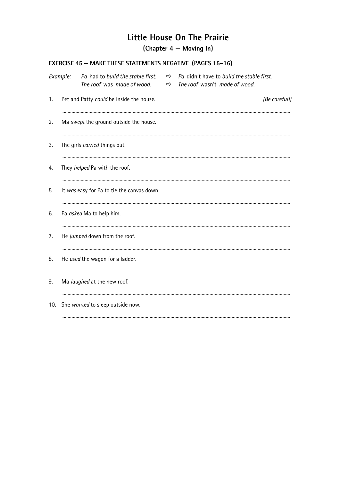(Chapter 4 – Moving In)

### **EXERCISE 45 - MAKE THESE STATEMENTS NEGATIVE (PAGES 15-16)**

| Example: | Pa had to build the stable first.<br>The roof was made of wood. | ⇨<br>⇨ | Pa didn't have to build the stable first.<br>The roof wasn't made of wood. |
|----------|-----------------------------------------------------------------|--------|----------------------------------------------------------------------------|
| 1.       | Pet and Patty could be inside the house.                        |        | (Be careful!)                                                              |
| 2.       | Ma swept the ground outside the house.                          |        |                                                                            |
| 3.       | The girls carried things out.                                   |        |                                                                            |
| 4.       | They helped Pa with the roof.                                   |        |                                                                            |
| 5.       | It was easy for Pa to tie the canvas down.                      |        |                                                                            |
| 6.       | Pa asked Ma to help him.                                        |        |                                                                            |
| 7.       | He jumped down from the roof.                                   |        |                                                                            |
| 8.       | He used the wagon for a ladder.                                 |        |                                                                            |
| 9.       | Ma laughed at the new roof.                                     |        |                                                                            |
| 10.      | She wanted to sleep outside now.                                |        |                                                                            |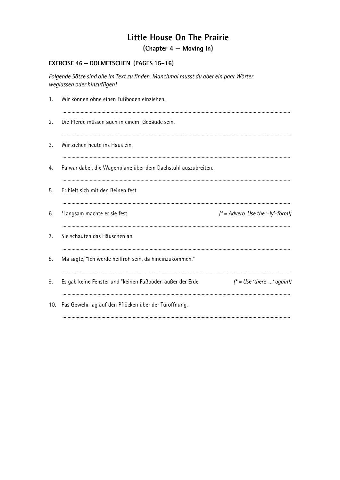(Chapter 4 – Moving In)

### EXERCISE 46 - DOLMETSCHEN (PAGES 15-16)

Folgende Sätze sind alle im Text zu finden. Manchmal musst du aber ein paar Wörter weglassen oder hinzufügen!

| 1.  | Wir können ohne einen Fußboden einziehen.                     |                                     |
|-----|---------------------------------------------------------------|-------------------------------------|
| 2.  | Die Pferde müssen auch in einem Gebäude sein.                 |                                     |
| 3.  | Wir ziehen heute ins Haus ein.                                |                                     |
| 4.  | Pa war dabei, die Wagenplane über dem Dachstuhl auszubreiten. |                                     |
| 5.  | Er hielt sich mit den Beinen fest.                            |                                     |
| 6.  | *Langsam machte er sie fest.                                  | $(* = Adverb. Use the '-ly'-form!)$ |
| 7.  | Sie schauten das Häuschen an.                                 |                                     |
| 8.  | Ma sagte, "Ich werde heilfroh sein, da hineinzukommen."       |                                     |
| 9.  | Es gab keine Fenster und *keinen Fußboden außer der Erde.     | $f^*$ = Use 'there ' again!)        |
| 10. | Pas Gewehr lag auf den Pflöcken über der Türöffnung.          |                                     |
|     |                                                               |                                     |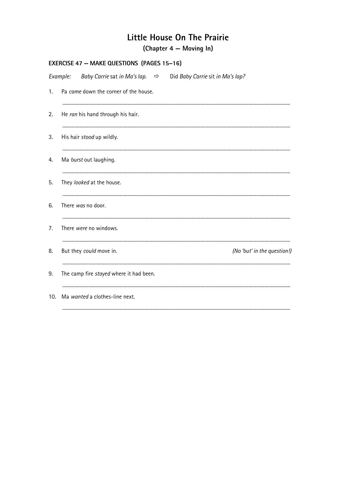(Chapter 4 – Moving In)

|     | <b>EXERCISE 47 - MAKE QUESTIONS (PAGES 15-16)</b> |  |  |                                                                             |                             |  |  |
|-----|---------------------------------------------------|--|--|-----------------------------------------------------------------------------|-----------------------------|--|--|
|     | Example:                                          |  |  | Baby Carrie sat in Ma's lap. $\Rightarrow$ Did Baby Carrie sit in Ma's lap? |                             |  |  |
| 1.  | Pa came down the corner of the house.             |  |  |                                                                             |                             |  |  |
| 2.  | He ran his hand through his hair.                 |  |  |                                                                             |                             |  |  |
| 3.  | His hair stood up wildly.                         |  |  |                                                                             |                             |  |  |
| 4.  | Ma burst out laughing.                            |  |  |                                                                             |                             |  |  |
| 5.  | They looked at the house.                         |  |  |                                                                             |                             |  |  |
| 6.  | There was no door.                                |  |  |                                                                             |                             |  |  |
| 7.  | There were no windows.                            |  |  |                                                                             |                             |  |  |
| 8.  | But they could move in.                           |  |  |                                                                             | (No 'but' in the question!) |  |  |
| 9.  | The camp fire stayed where it had been.           |  |  |                                                                             |                             |  |  |
| 10. | Ma wanted a clothes-line next.                    |  |  |                                                                             |                             |  |  |
|     |                                                   |  |  |                                                                             |                             |  |  |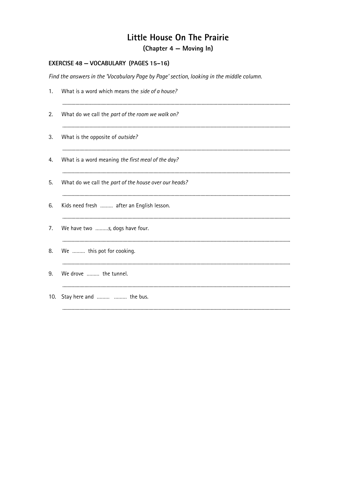(Chapter 4 – Moving In)

### EXERCISE 48 - VOCABULARY (PAGES 15-16)

Find the answers in the 'Vocabulary Page by Page' section, looking in the middle column.

| 1.  | What is a word which means the side of a house?       |
|-----|-------------------------------------------------------|
| 2.  | What do we call the part of the room we walk on?      |
| 3.  | What is the opposite of outside?                      |
| 4.  | What is a word meaning the first meal of the day?     |
| 5.  | What do we call the part of the house over our heads? |
| 6.  | Kids need fresh  after an English lesson.             |
| 7.  | We have two s, dogs have four.                        |
| 8.  | We  this pot for cooking.                             |
| 9.  | We drove  the tunnel.                                 |
| 10. | Stay here and   the bus.                              |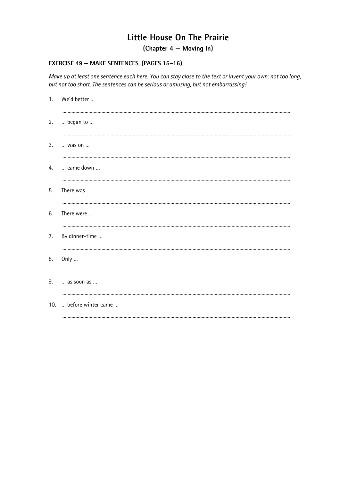(Chapter 4 – Moving In)

#### **EXERCISE 49 - MAKE SENTENCES (PAGES 15-16)**

Make up at least one sentence each here. You can stay close to the text or invent your own: not too long, but not too short. The sentences can be serious or amusing, but not embarrassing!

| 1. | We'd better             |
|----|-------------------------|
| 2. | began to                |
| 3. | was on                  |
| 4. | came down               |
| 5. | There was               |
| 6. | There were              |
| 7. | By dinner-time          |
| 8. | Only                    |
| 9. | as soon as              |
|    | 10.  before winter came |
|    |                         |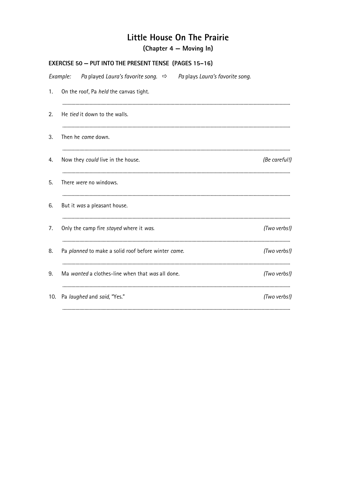(Chapter 4 – Moving In)

|     | <b>EXERCISE 50 - PUT INTO THE PRESENT TENSE (PAGES 15-16)</b>                           |               |  |  |  |  |  |
|-----|-----------------------------------------------------------------------------------------|---------------|--|--|--|--|--|
|     | Example: Pa played Laura's favorite song. $\Rightarrow$ Pa plays Laura's favorite song. |               |  |  |  |  |  |
| 1.  | On the roof, Pa held the canvas tight.                                                  |               |  |  |  |  |  |
| 2.  | He tied it down to the walls.                                                           |               |  |  |  |  |  |
| 3.  | Then he came down.                                                                      |               |  |  |  |  |  |
| 4.  | Now they could live in the house.                                                       | (Be careful!) |  |  |  |  |  |
| 5.  | There were no windows.                                                                  |               |  |  |  |  |  |
| 6.  | But it was a pleasant house.                                                            |               |  |  |  |  |  |
| 7.  | Only the camp fire stayed where it was.                                                 | (Two verbs!)  |  |  |  |  |  |
| 8.  | Pa planned to make a solid roof before winter came.                                     | (Two verbs!)  |  |  |  |  |  |
| 9.  | Ma wanted a clothes-line when that was all done.                                        | (Two verbs!)  |  |  |  |  |  |
| 10. | Pa laughed and said, "Yes."                                                             | (Two verbs!)  |  |  |  |  |  |
|     |                                                                                         |               |  |  |  |  |  |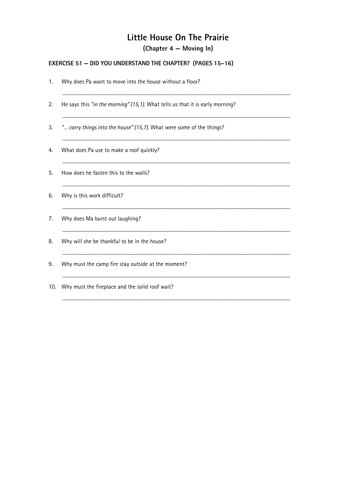(Chapter 4 – Moving In)

### **EXERCISE 51 - DID YOU UNDERSTAND THE CHAPTER? (PAGES 15-16)**

| 1.  | Why does Pa want to move into the house without a floor?                      |
|-----|-------------------------------------------------------------------------------|
| 2.  | He says this "in the morning" (15,1). What tells us that it is early morning? |
| 3.  | " carry things into the house" (15,7). What were some of the things?          |
| 4.  | What does Pa use to make a roof quickly?                                      |
| 5.  | How does he fasten this to the walls?                                         |
| 6.  | Why is this work difficult?                                                   |
| 7.  | Why does Ma burst out laughing?                                               |
| 8.  | Why will she be thankful to be in the house?                                  |
| 9.  | Why must the camp fire stay outside at the moment?                            |
| 10. | Why must the fireplace and the solid roof wait?                               |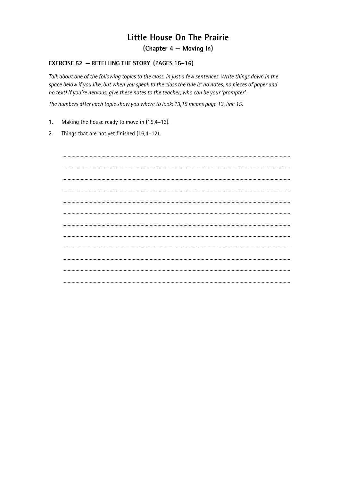(Chapter 4 – Moving In)

#### **EXERCISE 52 - RETELLING THE STORY (PAGES 15-16)**

Talk about one of the following topics to the class, in just a few sentences. Write things down in the space below if you like, but when you speak to the class the rule is: no notes, no pieces of paper and no text! If you're nervous, give these notes to the teacher, who can be your 'prompter'.

The numbers after each topic show you where to look: 13,15 means page 13, line 15.

- $1.$ Making the house ready to move in (15,4-13).
- Things that are not yet finished (16,4-12).  $2.$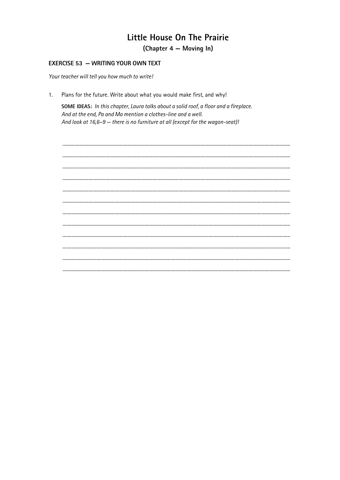(Chapter 4 – Moving In)

#### **EXERCISE 53 - WRITING YOUR OWN TEXT**

Your teacher will tell you how much to write!

Plans for the future. Write about what you would make first, and why!  $1<sub>1</sub>$ 

SOME IDEAS: In this chapter, Laura talks about a solid roof, a floor and a fireplace. And at the end, Pa and Ma mention a clothes-line and a well. And look at 16,6-9 - there is no furniture at all (except for the wagon-seat)!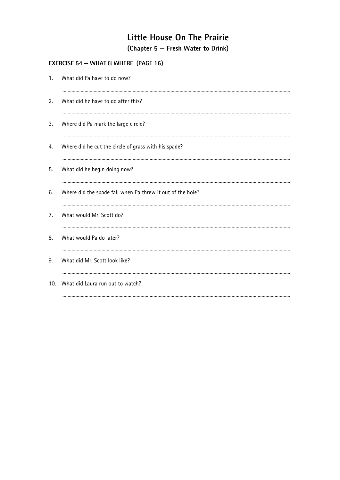### **EXERCISE 54 - WHAT & WHERE (PAGE 16)**

| 1. | What did Pa have to do now?                                |  |  |  |  |  |
|----|------------------------------------------------------------|--|--|--|--|--|
| 2. | What did he have to do after this?                         |  |  |  |  |  |
| 3. | Where did Pa mark the large circle?                        |  |  |  |  |  |
| 4. | Where did he cut the circle of grass with his spade?       |  |  |  |  |  |
| 5. | What did he begin doing now?                               |  |  |  |  |  |
| 6. | Where did the spade fall when Pa threw it out of the hole? |  |  |  |  |  |
| 7. | What would Mr. Scott do?                                   |  |  |  |  |  |
| 8. | What would Pa do later?                                    |  |  |  |  |  |
| 9. | What did Mr. Scott look like?                              |  |  |  |  |  |
|    | 10. What did Laura run out to watch?                       |  |  |  |  |  |
|    |                                                            |  |  |  |  |  |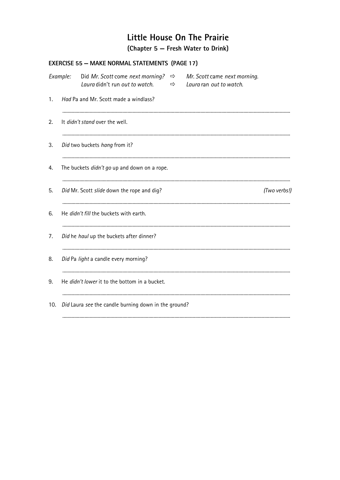| <b>EXERCISE 55 - MAKE NORMAL STATEMENTS (PAGE 17)</b> |          |                                                                                  |   |                                                         |              |  |
|-------------------------------------------------------|----------|----------------------------------------------------------------------------------|---|---------------------------------------------------------|--------------|--|
|                                                       | Example: | Did Mr. Scott come next morning? $\Rightarrow$<br>Laura didn't run out to watch. | ⇨ | Mr. Scott came next morning.<br>Laura ran out to watch. |              |  |
| 1.                                                    |          | Had Pa and Mr. Scott made a windlass?                                            |   |                                                         |              |  |
| 2.                                                    |          | It didn't stand over the well.                                                   |   |                                                         |              |  |
| 3.                                                    |          | Did two buckets hang from it?                                                    |   |                                                         |              |  |
| 4.                                                    |          | The buckets didn't go up and down on a rope.                                     |   |                                                         |              |  |
| 5.                                                    |          | Did Mr. Scott slide down the rope and dig?                                       |   |                                                         | (Two verbs!) |  |
| 6.                                                    |          | He didn't fill the buckets with earth.                                           |   |                                                         |              |  |
| 7.                                                    |          | Did he haul up the buckets after dinner?                                         |   |                                                         |              |  |
| 8.                                                    |          | Did Pa light a candle every morning?                                             |   |                                                         |              |  |
| 9.                                                    |          | He didn't lower it to the bottom in a bucket.                                    |   |                                                         |              |  |
| 10.                                                   |          | Did Laura see the candle burning down in the ground?                             |   |                                                         |              |  |
|                                                       |          |                                                                                  |   |                                                         |              |  |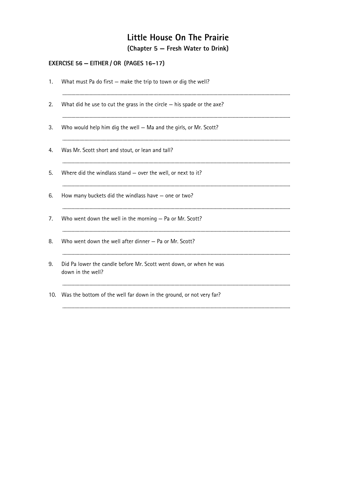### EXERCISE 56 - EITHER / OR (PAGES 16-17)

| 1. | What must Pa do first - make the trip to town or dig the well?                          |
|----|-----------------------------------------------------------------------------------------|
| 2. | What did he use to cut the grass in the circle $-$ his spade or the axe?                |
| 3. | Who would help him dig the well - Ma and the girls, or Mr. Scott?                       |
| 4. | Was Mr. Scott short and stout, or lean and tall?                                        |
| 5. | Where did the windlass stand $-$ over the well, or next to it?                          |
| 6. | How many buckets did the windlass have $-$ one or two?                                  |
| 7. | Who went down the well in the morning - Pa or Mr. Scott?                                |
| 8. | Who went down the well after dinner – Pa or Mr. Scott?                                  |
| 9. | Did Pa lower the candle before Mr. Scott went down, or when he was<br>down in the well? |
|    | 10. Was the bottom of the well far down in the ground, or not very far?                 |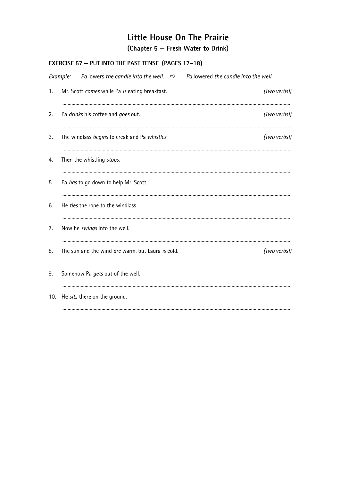| EXERCISE 57 - PUT INTO THE PAST TENSE (PAGES 17-18) |                                                                                                  |              |  |  |  |  |  |
|-----------------------------------------------------|--------------------------------------------------------------------------------------------------|--------------|--|--|--|--|--|
|                                                     | Palowers the candle into the well. $\Rightarrow$ Palowered the candle into the well.<br>Example: |              |  |  |  |  |  |
| 1.                                                  | Mr. Scott comes while Pa is eating breakfast.                                                    | (Two verbs!) |  |  |  |  |  |
| 2.                                                  | Pa drinks his coffee and goes out.                                                               | (Two verbs!) |  |  |  |  |  |
| 3.                                                  | The windlass begins to creak and Pa whistles.                                                    | (Two verbs!) |  |  |  |  |  |
| 4.                                                  | Then the whistling stops.                                                                        |              |  |  |  |  |  |
| 5.                                                  | Pa has to go down to help Mr. Scott.                                                             |              |  |  |  |  |  |
| 6.                                                  | He ties the rope to the windlass.                                                                |              |  |  |  |  |  |
| 7.                                                  | Now he swings into the well.                                                                     |              |  |  |  |  |  |
| 8.                                                  | The sun and the wind are warm, but Laura is cold.                                                | (Two verbs!) |  |  |  |  |  |
| 9.                                                  | Somehow Pa gets out of the well.                                                                 |              |  |  |  |  |  |
| 10.                                                 | He sits there on the ground.                                                                     |              |  |  |  |  |  |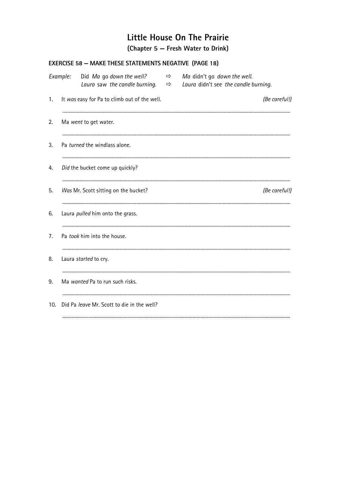|     | EXERCISE 58 - MAKE THESE STATEMENTS NEGATIVE (PAGE 18) |                                              |               |                                                                                                                 |               |  |  |
|-----|--------------------------------------------------------|----------------------------------------------|---------------|-----------------------------------------------------------------------------------------------------------------|---------------|--|--|
|     | Example:                                               | Did Ma go down the well?                     | $\Rightarrow$ | Ma didn't go down the well.<br>Laura saw the candle burning. $\Rightarrow$ Laura didn't see the candle burning. |               |  |  |
| 1.  |                                                        | It was easy for Pa to climb out of the well. |               |                                                                                                                 | (Be careful!) |  |  |
| 2.  |                                                        | Ma went to get water.                        |               |                                                                                                                 |               |  |  |
| 3.  |                                                        | Pa turned the windlass alone.                |               |                                                                                                                 |               |  |  |
| 4.  |                                                        | Did the bucket come up quickly?              |               |                                                                                                                 |               |  |  |
| 5.  |                                                        | Was Mr. Scott sitting on the bucket?         |               |                                                                                                                 | (Be careful!) |  |  |
| 6.  |                                                        | Laura pulled him onto the grass.             |               |                                                                                                                 |               |  |  |
| 7.  |                                                        | Pa took him into the house.                  |               |                                                                                                                 |               |  |  |
| 8.  |                                                        | Laura started to cry.                        |               |                                                                                                                 |               |  |  |
| 9.  |                                                        | Ma wanted Pa to run such risks.              |               |                                                                                                                 |               |  |  |
| 10. |                                                        | Did Pa leave Mr. Scott to die in the well?   |               |                                                                                                                 |               |  |  |
|     |                                                        |                                              |               |                                                                                                                 |               |  |  |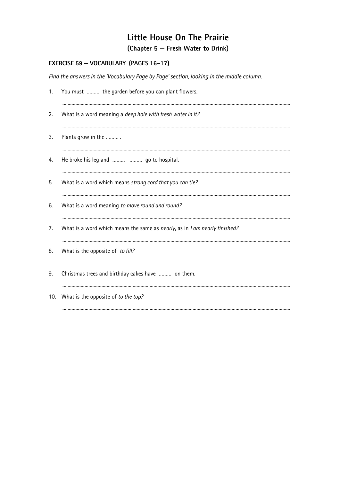### EXERCISE 59 - VOCABULARY (PAGES 16-17)

Find the answers in the 'Vocabulary Page by Page' section, looking in the middle column.

| 1.  | You must  the garden before you can plant flowers.                         |
|-----|----------------------------------------------------------------------------|
| 2.  | What is a word meaning a deep hole with fresh water in it?                 |
| 3.  | Plants grow in the                                                         |
| 4.  | He broke his leg and   go to hospital.                                     |
| 5.  | What is a word which means strong cord that you can tie?                   |
| 6.  | What is a word meaning to move round and round?                            |
| 7.  | What is a word which means the same as nearly, as in I am nearly finished? |
| 8.  | What is the opposite of to fill?                                           |
| 9.  | Christmas trees and birthday cakes have  on them.                          |
| 10. | What is the opposite of to the top?                                        |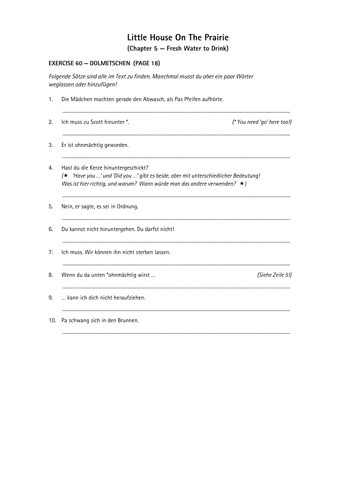### **EXERCISE 60 - DOLMETSCHEN (PAGE 18)**

Folgende Sätze sind alle im Text zu finden. Manchmal musst du aber ein paar Wörter weglassen oder hinzufügen!

| 1.  | Die Mädchen machten gerade den Abwasch, als Pas Pfeifen aufhörte.                                                                                                                                             |                             |  |
|-----|---------------------------------------------------------------------------------------------------------------------------------------------------------------------------------------------------------------|-----------------------------|--|
| 2.  | Ich muss zu Scott hinunter *.                                                                                                                                                                                 | (* You need 'go' here too!) |  |
| 3.  | Er ist ohnmächtig geworden.                                                                                                                                                                                   |                             |  |
| 4.  | Hast du die Kerze hinuntergeschickt?<br>(★ 'Have you ' und 'Did you ' gibt es beide, aber mit unterschiedlicher Bedeutung!<br>Was ist hier richtig, und warum? Wann würde man das andere verwenden? $\star$ ) |                             |  |
| 5.  | Nein, er sagte, es sei in Ordnung.                                                                                                                                                                            |                             |  |
| 6.  | Du kannst nicht hinuntergehen. Du darfst nicht!                                                                                                                                                               |                             |  |
| 7.  | Ich muss. Wir können ihn nicht sterben lassen.                                                                                                                                                                |                             |  |
| 8.  | Wenn du da unten *ohnmächtig wirst                                                                                                                                                                            | (Siehe Zeile 5!)            |  |
| 9.  | kann ich dich nicht heraufziehen.                                                                                                                                                                             |                             |  |
| 10. | Pa schwang sich in den Brunnen.                                                                                                                                                                               |                             |  |
|     |                                                                                                                                                                                                               |                             |  |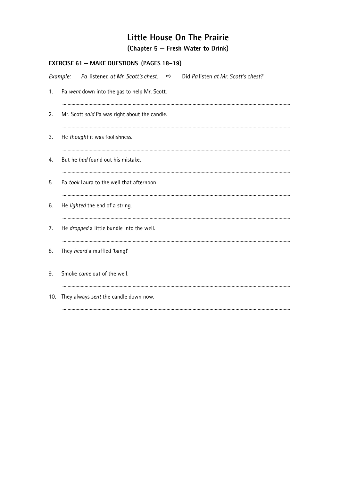| <b>EXERCISE 61 - MAKE QUESTIONS (PAGES 18-19)</b> |                                                                                                 |  |  |
|---------------------------------------------------|-------------------------------------------------------------------------------------------------|--|--|
|                                                   | Pa listened at Mr. Scott's chest. $\Rightarrow$ Did Pa listen at Mr. Scott's chest?<br>Example: |  |  |
| 1.                                                | Pa went down into the gas to help Mr. Scott.                                                    |  |  |
| 2.                                                | Mr. Scott said Pa was right about the candle.                                                   |  |  |
| 3.                                                | He thought it was foolishness.                                                                  |  |  |
| 4.                                                | But he had found out his mistake.                                                               |  |  |
| 5.                                                | Pa took Laura to the well that afternoon.                                                       |  |  |
| 6.                                                | He lighted the end of a string.                                                                 |  |  |
| 7.                                                | He <i>dropped</i> a little bundle into the well.                                                |  |  |
| 8.                                                | They heard a muffled 'bang!'                                                                    |  |  |
| 9.                                                | Smoke came out of the well.                                                                     |  |  |
| 10.                                               | They always sent the candle down now.                                                           |  |  |
|                                                   |                                                                                                 |  |  |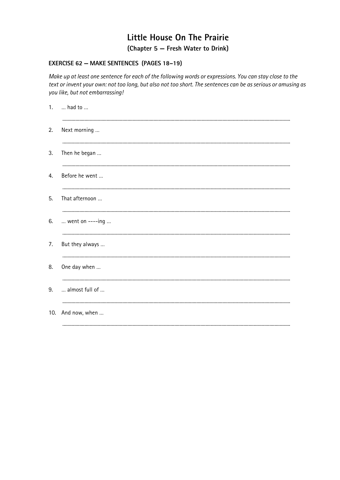#### EXERCISE 62 - MAKE SENTENCES (PAGES 18-19)

Make up at least one sentence for each of the following words or expressions. You can stay close to the text or invent your own: not too long, but also not too short. The sentences can be as serious or amusing as you like, but not embarrassing!

| had to            |
|-------------------|
| Next morning      |
| Then he began     |
| Before he went    |
| That afternoon    |
| went on ----ing   |
| But they always   |
| One day when      |
| almost full of    |
| 10. And now, when |
|                   |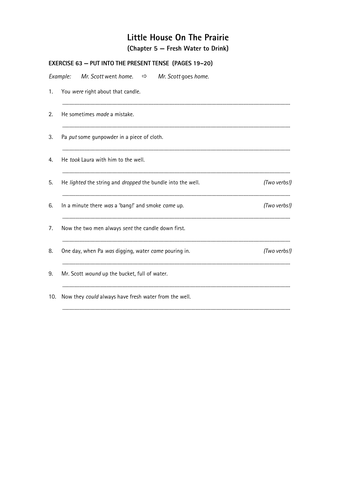|     | EXERCISE 63 - PUT INTO THE PRESENT TENSE (PAGES 19-20)              |              |
|-----|---------------------------------------------------------------------|--------------|
|     | Mr. Scott went home. $\Rightarrow$ Mr. Scott goes home.<br>Example: |              |
| 1.  | You were right about that candle.                                   |              |
| 2.  | He sometimes made a mistake.                                        |              |
| 3.  | Pa put some gunpowder in a piece of cloth.                          |              |
| 4.  | He took Laura with him to the well.                                 |              |
| 5.  | He lighted the string and dropped the bundle into the well.         | (Two verbs!) |
| 6.  | In a minute there was a 'bang!' and smoke came up.                  | (Two verbs!) |
| 7.  | Now the two men always sent the candle down first.                  |              |
| 8.  | One day, when Pa was digging, water came pouring in.                | (Two verbs!) |
| 9.  | Mr. Scott wound up the bucket, full of water.                       |              |
| 10. | Now they could always have fresh water from the well.               |              |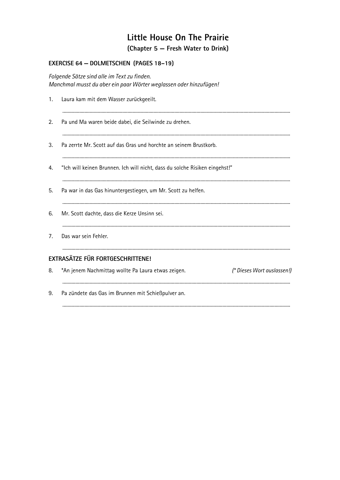### EXERCISE 64 - DOLMETSCHEN (PAGES 18-19)

Folgende Sätze sind alle im Text zu finden. Manchmal musst du aber ein paar Wörter weglassen oder hinzufügen!

|    | 1. Laura kam mit dem Wasser zurückgeeilt.                                        |
|----|----------------------------------------------------------------------------------|
| 2. | Pa und Ma waren beide dabei, die Seilwinde zu drehen.                            |
| 3. | Pa zerrte Mr. Scott auf das Gras und horchte an seinem Brustkorb.                |
| 4. | "Ich will keinen Brunnen. Ich will nicht, dass du solche Risiken eingehst!"      |
| 5. | Pa war in das Gas hinuntergestiegen, um Mr. Scott zu helfen.                     |
| 6. | Mr. Scott dachte, dass die Kerze Unsinn sei.                                     |
| 7. | Das war sein Fehler.                                                             |
|    | <b>EXTRASÄTZE FÜR FORTGESCHRITTENE!</b>                                          |
| 8. | (* Dieses Wort auslassen!)<br>*An jenem Nachmittag wollte Pa Laura etwas zeigen. |
| 9. | Pa zündete das Gas im Brunnen mit Schießpulver an.                               |
|    |                                                                                  |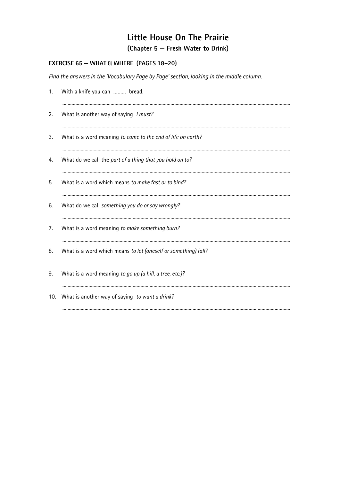#### **EXERCISE 65 - WHAT & WHERE (PAGES 18-20)**

Find the answers in the 'Vocabulary Page by Page' section, looking in the middle column.

| 1.  | With a knife you can  bread.                                   |
|-----|----------------------------------------------------------------|
| 2.  | What is another way of saying I must?                          |
| 3.  | What is a word meaning to come to the end of life on earth?    |
| 4.  | What do we call the part of a thing that you hold on to?       |
| 5.  | What is a word which means to make fast or to bind?            |
| 6.  | What do we call something you do or say wrongly?               |
| 7.  | What is a word meaning to make something burn?                 |
| 8.  | What is a word which means to let (oneself or something) fall? |
| 9.  | What is a word meaning to go up (a hill, a tree, etc.)?        |
| 10. | What is another way of saying to want a drink?                 |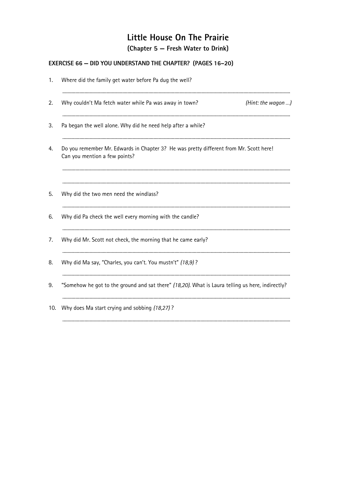### **EXERCISE 66 - DID YOU UNDERSTAND THE CHAPTER?** (PAGES 16-20)

| 1.  | Where did the family get water before Pa dug the well?                                                                  |                    |  |
|-----|-------------------------------------------------------------------------------------------------------------------------|--------------------|--|
| 2.  | Why couldn't Ma fetch water while Pa was away in town?                                                                  | (Hint: the wagon ) |  |
| 3.  | Pa began the well alone. Why did he need help after a while?                                                            |                    |  |
| 4.  | Do you remember Mr. Edwards in Chapter 3? He was pretty different from Mr. Scott here!<br>Can you mention a few points? |                    |  |
| 5.  | Why did the two men need the windlass?                                                                                  |                    |  |
| 6.  | Why did Pa check the well every morning with the candle?                                                                |                    |  |
| 7.  | Why did Mr. Scott not check, the morning that he came early?                                                            |                    |  |
| 8.  | Why did Ma say, "Charles, you can't. You mustn't" (18,9)?                                                               |                    |  |
| 9.  | "Somehow he got to the ground and sat there" (18,20). What is Laura telling us here, indirectly?                        |                    |  |
| 10. | Why does Ma start crying and sobbing (18,27)?                                                                           |                    |  |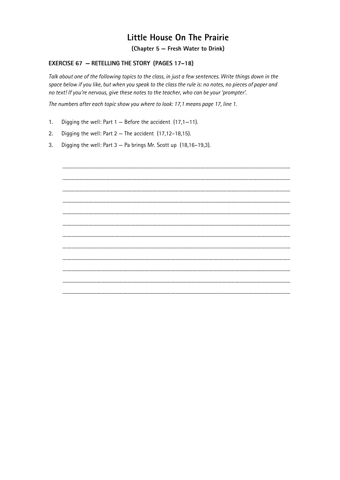(Chapter 5 – Fresh Water to Drink)

#### **EXERCISE 67 - RETELLING THE STORY (PAGES 17-18)**

Talk about one of the following topics to the class, in just a few sentences. Write things down in the space below if you like, but when you speak to the class the rule is: no notes, no pieces of paper and no text! If you're nervous, give these notes to the teacher, who can be your 'prompter'.

The numbers after each topic show you where to look: 17,1 means page 17, line 1.

- $1<sub>1</sub>$ Digging the well: Part  $1 -$  Before the accident (17,1-11).
- Digging the well: Part  $2$  The accident (17,12-18,15).  $2.$
- Digging the well: Part 3 Pa brings Mr. Scott up (18,16-19,3). 3.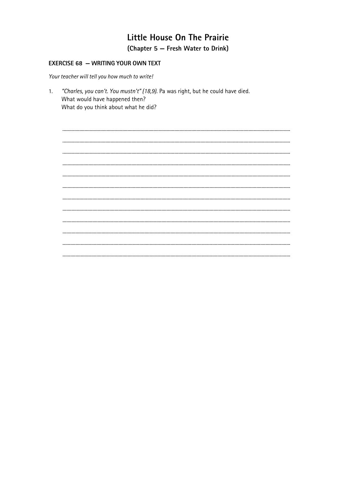### Little House On The Prairie (Chapter 5 - Fresh Water to Drink)

#### **EXERCISE 68 - WRITING YOUR OWN TEXT**

Your teacher will tell you how much to write!

"Charles, you can't. You mustn't" (18,9). Pa was right, but he could have died.  $1<sub>1</sub>$ What would have happened then? What do you think about what he did?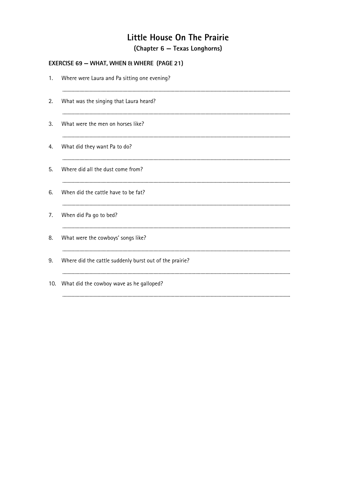#### **EXERCISE 69 - WHAT, WHEN & WHERE (PAGE 21)**

| 1.  | Where were Laura and Pa sitting one evening?            |
|-----|---------------------------------------------------------|
| 2.  | What was the singing that Laura heard?                  |
| 3.  | What were the men on horses like?                       |
| 4.  | What did they want Pa to do?                            |
| 5.  | Where did all the dust come from?                       |
| 6.  | When did the cattle have to be fat?                     |
| 7.  | When did Pa go to bed?                                  |
| 8.  | What were the cowboys' songs like?                      |
| 9.  | Where did the cattle suddenly burst out of the prairie? |
| 10. | What did the cowboy wave as he galloped?                |
|     |                                                         |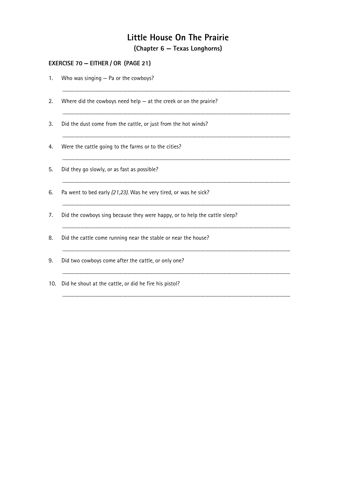### **EXERCISE 70 - EITHER / OR (PAGE 21)**

| 1.  | Who was singing - Pa or the cowboys?                                       |
|-----|----------------------------------------------------------------------------|
| 2.  | Where did the cowboys need help $-$ at the creek or on the prairie?        |
| 3.  | Did the dust come from the cattle, or just from the hot winds?             |
| 4.  | Were the cattle going to the farms or to the cities?                       |
| 5.  | Did they go slowly, or as fast as possible?                                |
| 6.  | Pa went to bed early (21,23). Was he very tired, or was he sick?           |
| 7.  | Did the cowboys sing because they were happy, or to help the cattle sleep? |
| 8.  | Did the cattle come running near the stable or near the house?             |
| 9.  | Did two cowboys come after the cattle, or only one?                        |
| 10. | Did he shout at the cattle, or did he fire his pistol?                     |
|     |                                                                            |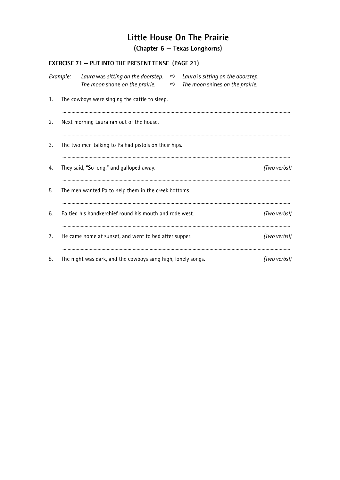(Chapter 6 - Texas Longhorns)

|    |          | <b>EXERCISE 71 - PUT INTO THE PRESENT TENSE (PAGE 21)</b>                                                                                                          |  |              |
|----|----------|--------------------------------------------------------------------------------------------------------------------------------------------------------------------|--|--------------|
|    | Example: | Laura was sitting on the doorstep. $\Rightarrow$ Laura is sitting on the doorstep.<br>The moon shone on the prairie. $\Rightarrow$ The moon shines on the prairie. |  |              |
| 1. |          | The cowboys were singing the cattle to sleep.                                                                                                                      |  |              |
| 2. |          | Next morning Laura ran out of the house.                                                                                                                           |  |              |
| 3. |          | The two men talking to Pa had pistols on their hips.                                                                                                               |  |              |
| 4. |          | They said, "So long," and galloped away.                                                                                                                           |  | (Two verbs!) |
| 5. |          | The men wanted Pa to help them in the creek bottoms.                                                                                                               |  |              |
| 6. |          | Pa tied his handkerchief round his mouth and rode west.                                                                                                            |  | (Two verbs!) |
| 7. |          | He came home at sunset, and went to bed after supper.                                                                                                              |  | (Two verbs!) |
| 8. |          | The night was dark, and the cowboys sang high, lonely songs.                                                                                                       |  | (Two verbs!) |
|    |          |                                                                                                                                                                    |  |              |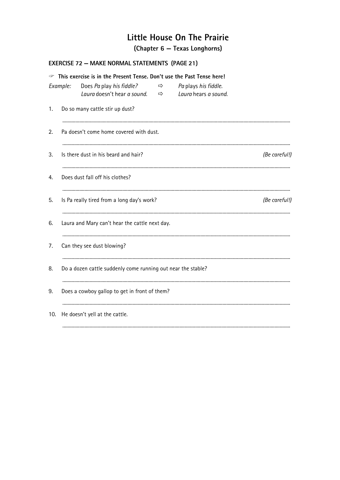(Chapter 6 – Texas Longhorns)

#### **EXERCISE 72 - MAKE NORMAL STATEMENTS (PAGE 21)**

|     |          | • This exercise is in the Present Tense. Don't use the Past Tense here! |               |                                              |               |
|-----|----------|-------------------------------------------------------------------------|---------------|----------------------------------------------|---------------|
|     | Example: | Does Pa play his fiddle?<br>Laura doesn't hear a sound. $\Rightarrow$   | $\Rightarrow$ | Pa plays his fiddle.<br>Laura hears a sound. |               |
| 1.  |          | Do so many cattle stir up dust?                                         |               |                                              |               |
| 2.  |          | Pa doesn't come home covered with dust.                                 |               |                                              |               |
| 3.  |          | Is there dust in his beard and hair?                                    |               |                                              | (Be careful!) |
| 4.  |          | Does dust fall off his clothes?                                         |               |                                              |               |
| 5.  |          | Is Pa really tired from a long day's work?                              |               |                                              | (Be careful!) |
| 6.  |          | Laura and Mary can't hear the cattle next day.                          |               |                                              |               |
| 7.  |          | Can they see dust blowing?                                              |               |                                              |               |
| 8.  |          | Do a dozen cattle suddenly come running out near the stable?            |               |                                              |               |
| 9.  |          | Does a cowboy gallop to get in front of them?                           |               |                                              |               |
| 10. |          | He doesn't yell at the cattle.                                          |               |                                              |               |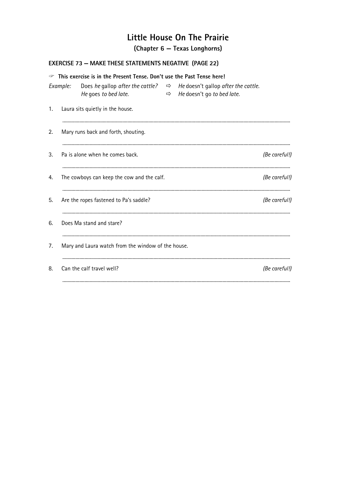(Chapter 6 – Texas Longhorns)

## **EXERCISE 73 - MAKE THESE STATEMENTS NEGATIVE (PAGE 22)**

|    |          | • This exercise is in the Present Tense. Don't use the Past Tense here! |                                                                                                                                |               |
|----|----------|-------------------------------------------------------------------------|--------------------------------------------------------------------------------------------------------------------------------|---------------|
|    | Example: | He goes to bed late.                                                    | Does he gallop after the cattle? $\Rightarrow$ He doesn't gallop after the cattle.<br>$\Rightarrow$ He doesn't go to bed late. |               |
| 1. |          | Laura sits quietly in the house.                                        |                                                                                                                                |               |
| 2. |          | Mary runs back and forth, shouting.                                     |                                                                                                                                |               |
| 3. |          | Pa is alone when he comes back.                                         |                                                                                                                                | (Be careful!) |
| 4. |          | The cowboys can keep the cow and the calf.                              |                                                                                                                                | (Be careful!) |
| 5. |          | Are the ropes fastened to Pa's saddle?                                  |                                                                                                                                | (Be careful!) |
| 6. |          | Does Ma stand and stare?                                                |                                                                                                                                |               |
| 7. |          | Mary and Laura watch from the window of the house.                      |                                                                                                                                |               |
| 8. |          | Can the calf travel well?                                               |                                                                                                                                | (Be careful!) |
|    |          |                                                                         |                                                                                                                                |               |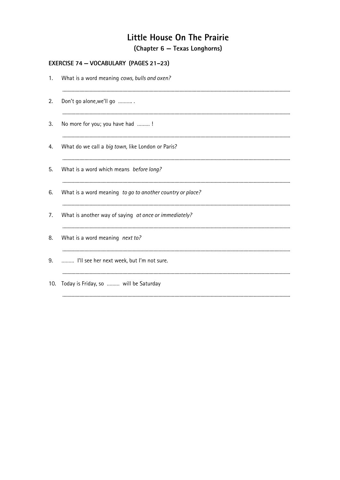#### EXERCISE 74 - VOCABULARY (PAGES 21-23)

| 1.  | What is a word meaning cows, bulls and oxen?              |
|-----|-----------------------------------------------------------|
| 2.  | Don't go alone, we'll go                                  |
| 3.  | No more for you; you have had !                           |
| 4.  | What do we call a big town, like London or Paris?         |
| 5.  | What is a word which means before long?                   |
| 6.  | What is a word meaning to go to another country or place? |
| 7.  | What is another way of saying at once or immediately?     |
| 8.  | What is a word meaning next to?                           |
| 9.  | I'll see her next week, but I'm not sure.                 |
| 10. | Today is Friday, so  will be Saturday                     |
|     |                                                           |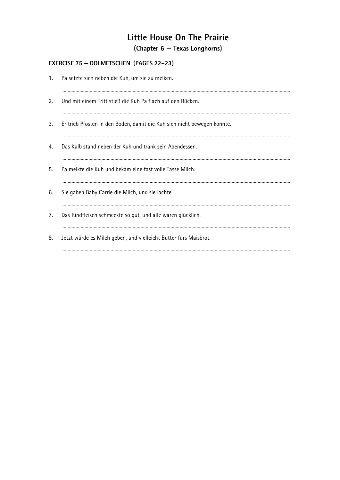#### EXERCISE 75 - DOLMETSCHEN (PAGES 22-23)

| 1. | Pa setzte sich neben die Kuh, um sie zu melken.                         |
|----|-------------------------------------------------------------------------|
| 2. | Und mit einem Tritt stieß die Kuh Pa flach auf den Rücken.              |
| 3. | Er trieb Pfosten in den Boden, damit die Kuh sich nicht bewegen konnte. |
| 4. | Das Kalb stand neben der Kuh und trank sein Abendessen.                 |
| 5. | Pa melkte die Kuh und bekam eine fast volle Tasse Milch.                |
| 6. | Sie gaben Baby Carrie die Milch, und sie lachte.                        |
| 7. | Das Rindfleisch schmeckte so gut, und alle waren glücklich.             |
| 8. | Jetzt würde es Milch geben, und vielleicht Butter fürs Maisbrot.        |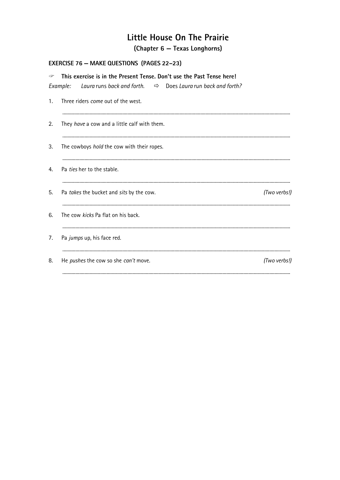(Chapter 6 - Texas Longhorns)

#### **EXERCISE 76 - MAKE QUESTIONS (PAGES 22-23)**

| ٧              | This exercise is in the Present Tense. Don't use the Past Tense here!               |              |
|----------------|-------------------------------------------------------------------------------------|--------------|
|                | Laura runs back and forth. $\Rightarrow$ Does Laura run back and forth?<br>Example: |              |
| $\mathbf{1}$ . | Three riders come out of the west.                                                  |              |
| 2.             | They have a cow and a little calf with them.                                        |              |
| 3.             | The cowboys <i>hold</i> the cow with their ropes.                                   |              |
| 4.             | Pa ties her to the stable.                                                          |              |
| 5.             | Pa takes the bucket and sits by the cow.                                            | (Two verbs!) |
| 6.             | The cow kicks Pa flat on his back.                                                  |              |
| 7.             | Pa jumps up, his face red.                                                          |              |
| 8.             | He pushes the cow so she can't move.                                                | (Two verbs!) |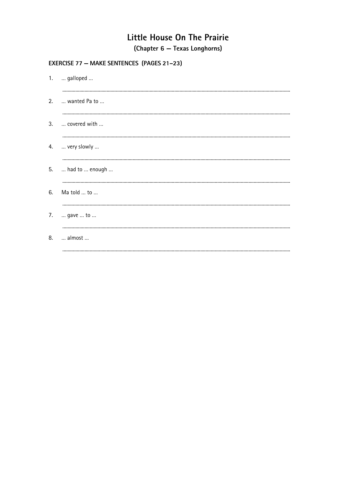#### **EXERCISE 77 - MAKE SENTENCES (PAGES 21-23)**

| 1.  galloped       |
|--------------------|
| 2.  wanted Pa to   |
| 3.  covered with   |
| 4.  very slowly    |
| 5.  had to  enough |
| 6. Ma told  to     |
| 7.  gave  to       |
| 8.  almost         |
|                    |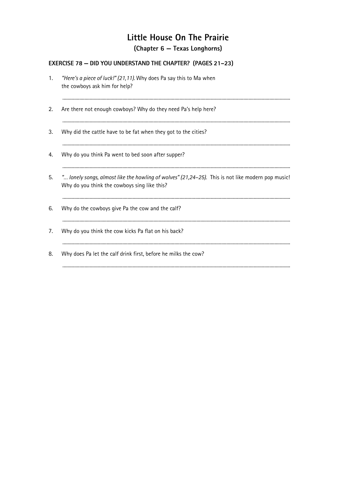#### **EXERCISE 78 - DID YOU UNDERSTAND THE CHAPTER?** (PAGES 21-23)

"Here's a piece of luck!" (21,11). Why does Pa say this to Ma when  $1.$ the cowboys ask him for help?  $2.$ Are there not enough cowboys? Why do they need Pa's help here?  $3.$ Why did the cattle have to be fat when they got to the cities? Why do you think Pa went to bed soon after supper?  $4.$ 5. "... lonely songs, almost like the howling of wolves" (21,24-25). This is not like modern pop music! Why do you think the cowboys sing like this? 6. Why do the cowboys give Pa the cow and the calf?  $7.$ Why do you think the cow kicks Pa flat on his back? 8. Why does Pa let the calf drink first, before he milks the cow?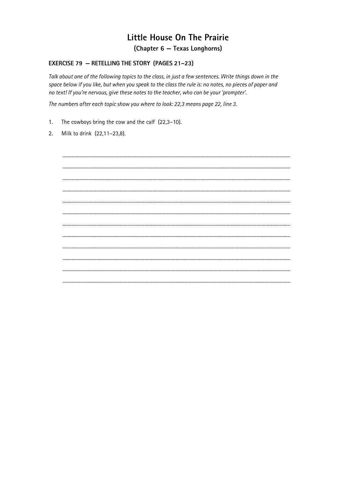#### **EXERCISE 79 - RETELLING THE STORY (PAGES 21-23)**

Talk about one of the following topics to the class, in just a few sentences. Write things down in the space below if you like, but when you speak to the class the rule is: no notes, no pieces of paper and no text! If you're nervous, give these notes to the teacher, who can be your 'prompter'.

The numbers after each topic show you where to look: 22,3 means page 22, line 3.

- $1.$ The cowboys bring the cow and the calf  $(22,3-10)$ .
- Milk to drink (22,11-23,8).  $\overline{2}$ .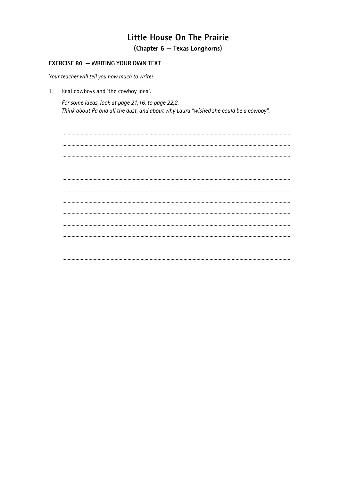#### **EXERCISE 80 - WRITING YOUR OWN TEXT**

Your teacher will tell you how much to write!

Real cowboys and 'the cowboy idea'.  $1<sub>1</sub>$ 

> For some ideas, look at page 21,16, to page 22,2. Think about Pa and all the dust, and about why Laura "wished she could be a cowboy".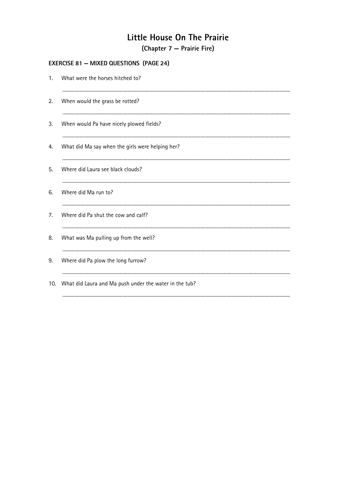(Chapter 7 – Prairie Fire)

#### **EXERCISE 81 - MIXED QUESTIONS (PAGE 24)**

| 1.  | What were the horses hitched to?                       |
|-----|--------------------------------------------------------|
| 2.  | When would the grass be rotted?                        |
| 3.  | When would Pa have nicely plowed fields?               |
| 4.  | What did Ma say when the girls were helping her?       |
| 5.  | Where did Laura see black clouds?                      |
| 6.  | Where did Ma run to?                                   |
| 7.  | Where did Pa shut the cow and calf?                    |
| 8.  | What was Ma pulling up from the well?                  |
| 9.  | Where did Pa plow the long furrow?                     |
| 10. | What did Laura and Ma push under the water in the tub? |
|     |                                                        |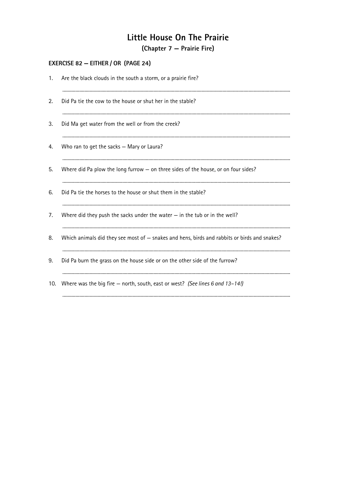(Chapter 7 – Prairie Fire)

#### **EXERCISE 82 - EITHER / OR (PAGE 24)**

| 1.  | Are the black clouds in the south a storm, or a prairie fire?                                |
|-----|----------------------------------------------------------------------------------------------|
| 2.  | Did Pa tie the cow to the house or shut her in the stable?                                   |
| 3.  | Did Ma get water from the well or from the creek?                                            |
| 4.  | Who ran to get the sacks - Mary or Laura?                                                    |
| 5.  | Where did Pa plow the long furrow $-$ on three sides of the house, or on four sides?         |
| 6.  | Did Pa tie the horses to the house or shut them in the stable?                               |
| 7.  | Where did they push the sacks under the water $-$ in the tub or in the well?                 |
| 8.  | Which animals did they see most of - snakes and hens, birds and rabbits or birds and snakes? |
| 9.  | Did Pa burn the grass on the house side or on the other side of the furrow?                  |
| 10. | Where was the big fire $-$ north, south, east or west? (See lines 6 and 13–14!)              |
|     |                                                                                              |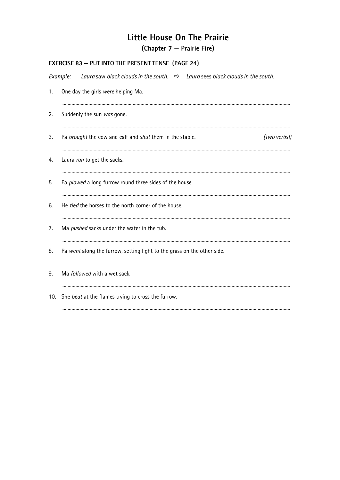(Chapter 7 – Prairie Fire)

| <b>EXERCISE 83 - PUT INTO THE PRESENT TENSE (PAGE 24)</b> |                                                                                          |
|-----------------------------------------------------------|------------------------------------------------------------------------------------------|
| Example:                                                  | Laura saw black clouds in the south. $\Rightarrow$ Laura sees black clouds in the south. |
| 1.                                                        | One day the girls were helping Ma.                                                       |
| 2.                                                        | Suddenly the sun was gone.                                                               |
| 3.                                                        | (Two verbs!)<br>Pa brought the cow and calf and shut them in the stable.                 |
| 4.                                                        | Laura ran to get the sacks.                                                              |
| 5.                                                        | Pa plowed a long furrow round three sides of the house.                                  |
| 6.                                                        | He tied the horses to the north corner of the house.                                     |
| 7.                                                        | Ma pushed sacks under the water in the tub.                                              |
| 8.                                                        | Pa went along the furrow, setting light to the grass on the other side.                  |
| 9.                                                        | Ma <i>followed</i> with a wet sack.                                                      |
| 10.                                                       | She beat at the flames trying to cross the furrow.                                       |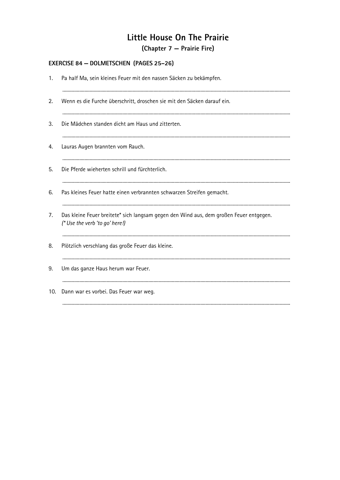(Chapter 7 – Prairie Fire)

#### **EXERCISE 84 - DOLMETSCHEN (PAGES 25-26)**

| 1.  | Pa half Ma, sein kleines Feuer mit den nassen Säcken zu bekämpfen.                                                       |
|-----|--------------------------------------------------------------------------------------------------------------------------|
| 2.  | Wenn es die Furche überschritt, droschen sie mit den Säcken darauf ein.                                                  |
| 3.  | Die Mädchen standen dicht am Haus und zitterten.                                                                         |
| 4.  | Lauras Augen brannten vom Rauch.                                                                                         |
| 5.  | Die Pferde wieherten schrill und fürchterlich.                                                                           |
| 6.  | Pas kleines Feuer hatte einen verbrannten schwarzen Streifen gemacht.                                                    |
| 7.  | Das kleine Feuer breitete* sich langsam gegen den Wind aus, dem großen Feuer entgegen.<br>(* Use the verb 'to go' here!) |
| 8.  | Plötzlich verschlang das große Feuer das kleine.                                                                         |
| 9.  | Um das ganze Haus herum war Feuer.                                                                                       |
| 10. | Dann war es vorbei. Das Feuer war weg.                                                                                   |
|     |                                                                                                                          |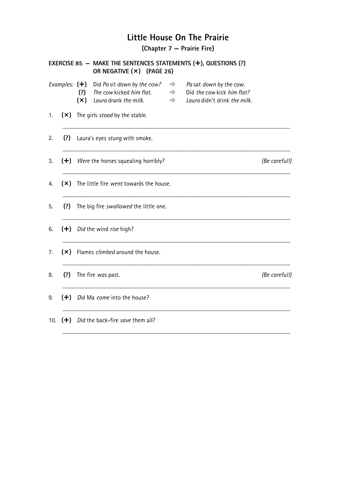(Chapter 7 – Prairie Fire)

|     |  |            | OR NEGATIVE (X) (PAGE 26)                                                                          |                                              |  | EXERCISE 85 - MAKE THE SENTENCES STATEMENTS $(+)$ , QUESTIONS $(?)$                                 |               |
|-----|--|------------|----------------------------------------------------------------------------------------------------|----------------------------------------------|--|-----------------------------------------------------------------------------------------------------|---------------|
|     |  | (?)<br>(x) | Examples: $(\pm)$ Did Pa sit down by the cow?<br>The cow kicked him flat.<br>Laura drank the milk. | $\Rightarrow$<br>$\qquad \qquad \Rightarrow$ |  | $\Rightarrow$ Pa sat down by the cow.<br>Did the cow kick him flat?<br>Laura didn't drink the milk. |               |
| 1.  |  |            | (×) The girls stood by the stable.                                                                 |                                              |  |                                                                                                     |               |
| 2.  |  |            | (?) Laura's eyes stung with smoke.                                                                 |                                              |  |                                                                                                     |               |
| 3.  |  |            | (+) Were the horses squealing horribly?                                                            |                                              |  |                                                                                                     | (Be careful!) |
| 4.  |  |            | (×) The little fire went towards the house.                                                        |                                              |  |                                                                                                     |               |
| 5.  |  |            | (?) The big fire swallowed the little one.                                                         |                                              |  |                                                                                                     |               |
| 6.  |  |            | $(+)$ <i>Did</i> the wind <i>rise</i> high?                                                        |                                              |  |                                                                                                     |               |
| 7.  |  |            | (×) Flames climbed around the house.                                                               |                                              |  |                                                                                                     |               |
| 8.  |  |            | (?) The fire was past.                                                                             |                                              |  |                                                                                                     | (Be careful!) |
| 9.  |  |            | (+) Did Ma come into the house?                                                                    |                                              |  |                                                                                                     |               |
| 10. |  |            | $(+)$ Did the back-fire save them all?                                                             |                                              |  |                                                                                                     |               |
|     |  |            |                                                                                                    |                                              |  |                                                                                                     |               |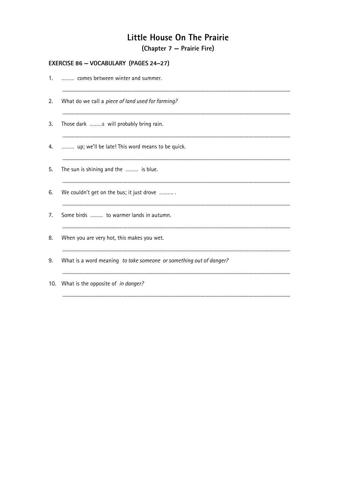(Chapter 7 – Prairie Fire)

#### EXERCISE 86 - VOCABULARY (PAGES 24-27)

| 1.  | comes between winter and summer.                                   |
|-----|--------------------------------------------------------------------|
| 2.  | What do we call a piece of land used for farming?                  |
| 3.  | Those dark s will probably bring rain.                             |
| 4.  | up; we'll be late! This word means to be quick.                    |
| 5.  | The sun is shining and the  is blue.                               |
| 6.  | We couldn't get on the bus; it just drove                          |
| 7.  | Some birds  to warmer lands in autumn.                             |
| 8.  | When you are very hot, this makes you wet.                         |
| 9.  | What is a word meaning to take someone or something out of danger? |
| 10. | What is the opposite of in danger?                                 |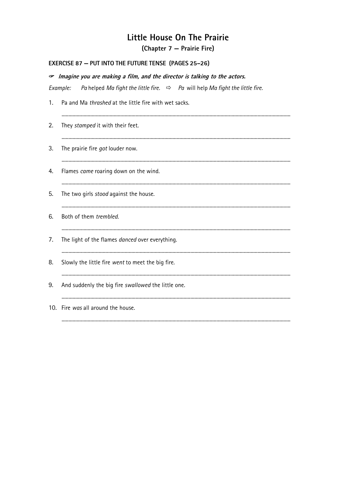(Chapter 7 – Prairie Fire)

#### **EXERCISE 87 - PUT INTO THE FUTURE TENSE (PAGES 25-26)**

|    | $\sigma$ Imagine you are making a film, and the director is talking to the actors.                   |
|----|------------------------------------------------------------------------------------------------------|
|    | Pa helped Ma fight the little fire. $\Rightarrow$ Pa will help Ma fight the little fire.<br>Example: |
| 1. | Pa and Ma thrashed at the little fire with wet sacks.                                                |
| 2. | They stamped it with their feet.                                                                     |
| 3. | The prairie fire got louder now.                                                                     |
| 4. | Flames came roaring down on the wind.                                                                |
| 5. | The two girls stood against the house.                                                               |
| 6. | Both of them trembled.                                                                               |
| 7. | The light of the flames danced over everything.                                                      |
| 8. | Slowly the little fire went to meet the big fire.                                                    |
| 9. | And suddenly the big fire swallowed the little one.                                                  |
|    | 10. Fire was all around the house.                                                                   |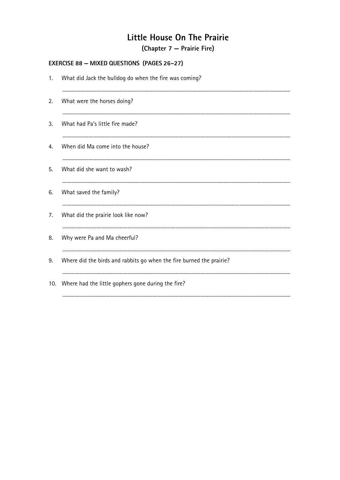(Chapter 7 – Prairie Fire)

#### **EXERCISE 88 - MIXED QUESTIONS (PAGES 26-27)**

| 1.  | What did Jack the bulldog do when the fire was coming?               |
|-----|----------------------------------------------------------------------|
| 2.  | What were the horses doing?                                          |
| 3.  | What had Pa's little fire made?                                      |
| 4.  | When did Ma come into the house?                                     |
| 5.  | What did she want to wash?                                           |
| 6.  | What saved the family?                                               |
| 7.  | What did the prairie look like now?                                  |
| 8.  | Why were Pa and Ma cheerful?                                         |
| 9.  | Where did the birds and rabbits go when the fire burned the prairie? |
| 10. | Where had the little gophers gone during the fire?                   |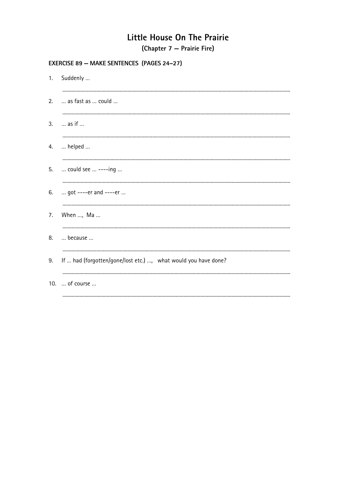(Chapter 7 – Prairie Fire)

#### **EXERCISE 89 - MAKE SENTENCES (PAGES 24-27)**

|    | 1. Suddenly                                                    |
|----|----------------------------------------------------------------|
| 2. | as fast as  could                                              |
| 3. | $\dots$ as if $\dots$                                          |
| 4. | $\dots$ helped $\dots$                                         |
| 5. | could see  ----ing                                             |
| 6. | got ----er and ----er                                          |
| 7. | When , Ma                                                      |
| 8. | because                                                        |
| 9. | If  had (forgotten/gone/lost etc.) , what would you have done? |
|    | 10.  of course                                                 |
|    |                                                                |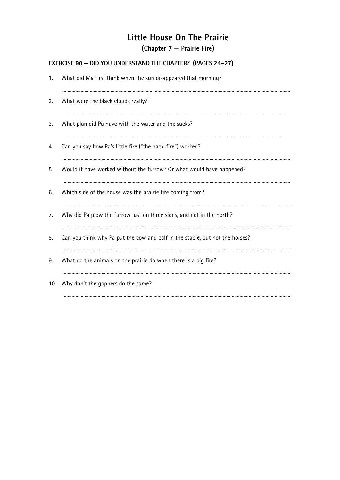(Chapter 7 – Prairie Fire)

#### EXERCISE 90 - DID YOU UNDERSTAND THE CHAPTER? (PAGES 24-27)

| 1.  | What did Ma first think when the sun disappeared that morning?               |
|-----|------------------------------------------------------------------------------|
| 2.  | What were the black clouds really?                                           |
| 3.  | What plan did Pa have with the water and the sacks?                          |
| 4.  | Can you say how Pa's little fire ("the back-fire") worked?                   |
| 5.  | Would it have worked without the furrow? Or what would have happened?        |
| 6.  | Which side of the house was the prairie fire coming from?                    |
| 7.  | Why did Pa plow the furrow just on three sides, and not in the north?        |
| 8.  | Can you think why Pa put the cow and calf in the stable, but not the horses? |
| 9.  | What do the animals on the prairie do when there is a big fire?              |
| 10. | Why don't the gophers do the same?                                           |
|     |                                                                              |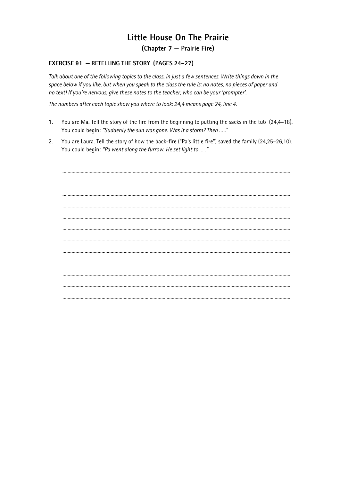(Chapter 7 – Prairie Fire)

#### **EXERCISE 91 - RETELLING THE STORY (PAGES 24-27)**

Talk about one of the following topics to the class, in just a few sentences. Write things down in the space below if you like, but when you speak to the class the rule is: no notes, no pieces of paper and no text! If you're nervous, give these notes to the teacher, who can be your 'prompter'.

The numbers after each topic show you where to look: 24,4 means page 24, line 4.

- $1.$ You are Ma. Tell the story of the fire from the beginning to putting the sacks in the tub (24,4–18). You could begin: "Suddenly the sun was gone. Was it a storm? Then ... ."
- $\overline{2}$ . You are Laura. Tell the story of how the back-fire ("Pa's little fire") saved the family (24,25-26,10). You could begin: "Pa went along the furrow. He set light to ...."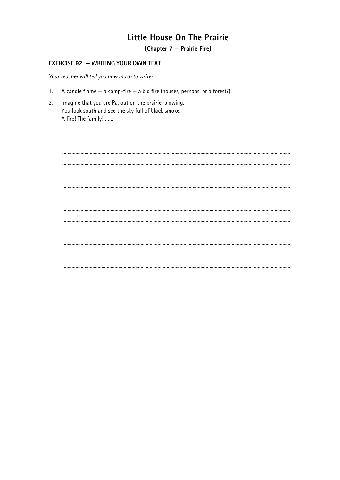(Chapter 7 - Prairie Fire)

#### **EXERCISE 92 - WRITING YOUR OWN TEXT**

Your teacher will tell you how much to write!

- A candle flame  $-$  a camp-fire  $-$  a big fire (houses, perhaps, or a forest?).  $1<sub>1</sub>$
- $2.$ Imagine that you are Pa, out on the prairie, plowing. You look south and see the sky full of black smoke. A fire! The family! ......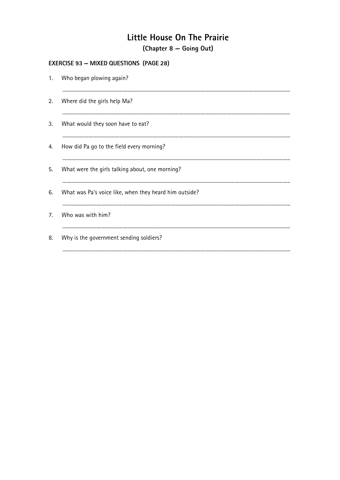(Chapter 8 – Going Out)

## **EXERCISE 93 - MIXED QUESTIONS (PAGE 28)**

|    | 1. Who began plowing again?                            |
|----|--------------------------------------------------------|
| 2. | Where did the girls help Ma?                           |
| 3. | What would they soon have to eat?                      |
| 4. | How did Pa go to the field every morning?              |
| 5. | What were the girls talking about, one morning?        |
| 6. | What was Pa's voice like, when they heard him outside? |
| 7. | Who was with him?                                      |
| 8. | Why is the government sending soldiers?                |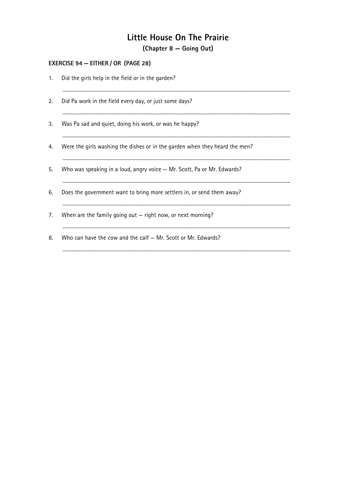(Chapter 8 – Going Out)

#### EXERCISE 94 - EITHER / OR (PAGE 28)

| 1. | Did the girls help in the field or in the garden?                           |
|----|-----------------------------------------------------------------------------|
| 2. | Did Pa work in the field every day, or just some days?                      |
| 3. | Was Pa sad and quiet, doing his work, or was he happy?                      |
| 4. | Were the girls washing the dishes or in the garden when they heard the men? |
| 5. | Who was speaking in a loud, angry voice - Mr. Scott, Pa or Mr. Edwards?     |
| 6. | Does the government want to bring more settlers in, or send them away?      |
| 7. | When are the family going out $-$ right now, or next morning?               |
| 8. | Who can have the cow and the calf – Mr. Scott or Mr. Edwards?               |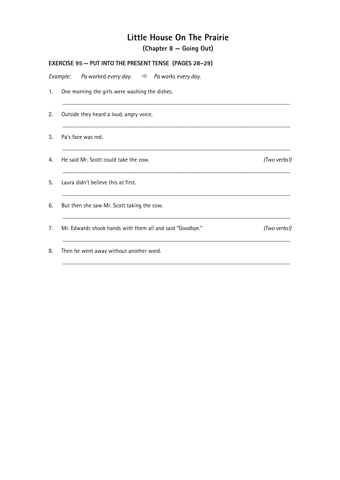(Chapter 8 – Going Out)

|    | <b>EXERCISE 95 - PUT INTO THE PRESENT TENSE (PAGES 28-29)</b>   |              |  |  |
|----|-----------------------------------------------------------------|--------------|--|--|
|    | Example: Pa worked every day. $\Rightarrow$ Pa works every day. |              |  |  |
| 1. | One morning the girls were washing the dishes.                  |              |  |  |
| 2. | Outside they heard a loud, angry voice.                         |              |  |  |
| 3. | Pa's face was red.                                              |              |  |  |
| 4. | He said Mr. Scott could take the cow.                           | (Two verbs!) |  |  |
| 5. | Laura didn't believe this at first.                             |              |  |  |
| 6. | But then she saw Mr. Scott taking the cow.                      |              |  |  |
| 7. | Mr. Edwards shook hands with them all and said "Goodbye."       | (Two verbs!) |  |  |
| 8. | Then he went away without another word.                         |              |  |  |
|    |                                                                 |              |  |  |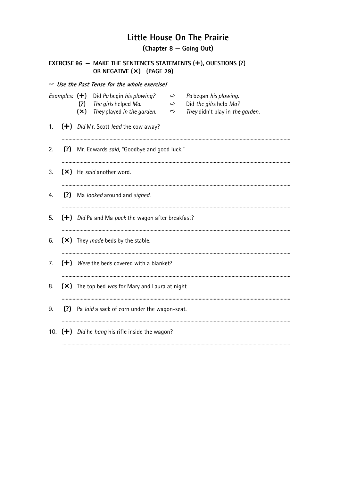(Chapter 8 – Going Out)

|     |                 |            | <b>B</b> Use the Past Tense for the whole exercise!               |                                |                                                           |
|-----|-----------------|------------|-------------------------------------------------------------------|--------------------------------|-----------------------------------------------------------|
|     | Examples: $(+)$ |            | Did Pa begin his plowing?                                         | $\Rightarrow$                  | Pa began his plowing.                                     |
|     |                 | (?)<br>(x) | The girls helped Ma.<br>They played in the garden.                | $\Rightarrow$<br>$\Rightarrow$ | Did the gilrs help Ma?<br>They didn't play in the garden. |
| 1.  |                 |            | $(\dagger)$ <i>Did Mr.</i> Scott <i>lead</i> the cow away?        |                                |                                                           |
| 2.  |                 |            | (?) Mr. Edwards said, "Goodbye and good luck."                    |                                |                                                           |
| 3.  |                 |            | $(\times)$ He said another word.                                  |                                |                                                           |
| 4.  |                 |            | (?) Ma looked around and sighed.                                  |                                |                                                           |
| 5.  |                 |            | $(\dagger)$ Did Pa and Ma pack the wagon after breakfast?         |                                |                                                           |
| 6.  |                 |            | (X) They made beds by the stable.                                 |                                |                                                           |
| 7.  |                 |            | $(\bigstar)$ Were the beds covered with a blanket?                |                                |                                                           |
| 8.  |                 |            | (X) The top bed was for Mary and Laura at night.                  |                                |                                                           |
| 9.  |                 |            | (?) Pa laid a sack of corn under the wagon-seat.                  |                                |                                                           |
| 10. |                 |            | $(\dagger)$ <i>Did</i> he <i>hang</i> his rifle inside the wagon? |                                |                                                           |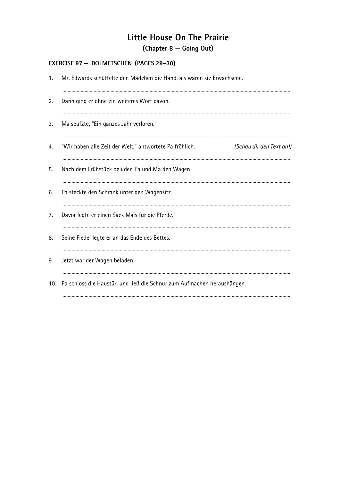### (Chapter 8 – Going Out)

#### EXERCISE 97 - DOLMETSCHEN (PAGES 29-30)

| 1.  | Mr. Edwards schüttelte den Mädchen die Hand, als wären sie Erwachsene.              |  |  |  |
|-----|-------------------------------------------------------------------------------------|--|--|--|
| 2.  | Dann ging er ohne ein weiteres Wort davon.                                          |  |  |  |
| 3.  | Ma seufzte, "Ein ganzes Jahr verloren."                                             |  |  |  |
| 4.  | "Wir haben alle Zeit der Welt," antwortete Pa fröhlich.<br>(Schau dir den Text an!) |  |  |  |
| 5.  | Nach dem Frühstück beluden Pa und Ma den Wagen.                                     |  |  |  |
| 6.  | Pa steckte den Schrank unter den Wagensitz.                                         |  |  |  |
| 7.  | Davor legte er einen Sack Mais für die Pferde.                                      |  |  |  |
| 8.  | Seine Fiedel legte er an das Ende des Bettes.                                       |  |  |  |
| 9.  | Jetzt war der Wagen beladen.                                                        |  |  |  |
| 10. | Pa schloss die Haustür, und ließ die Schnur zum Aufmachen heraushängen.             |  |  |  |
|     |                                                                                     |  |  |  |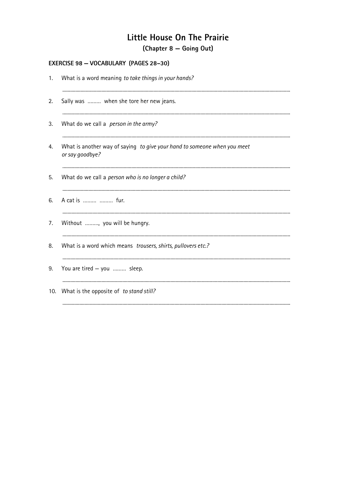(Chapter 8 – Going Out)

#### EXERCISE 98 - VOCABULARY (PAGES 28-30)

| 1.  | What is a word meaning to take things in your hands?                                        |
|-----|---------------------------------------------------------------------------------------------|
| 2.  | Sally was  when she tore her new jeans.                                                     |
| 3.  | What do we call a <i>person in the army?</i>                                                |
| 4.  | What is another way of saying to give your hand to someone when you meet<br>or say goodbye? |
| 5.  | What do we call a person who is no longer a child?                                          |
| 6.  | A cat is   fur.                                                                             |
| 7.  | Without , you will be hungry.                                                               |
| 8.  | What is a word which means trousers, shirts, pullovers etc.?                                |
| 9.  | You are tired - you  sleep.                                                                 |
| 10. | What is the opposite of to stand still?                                                     |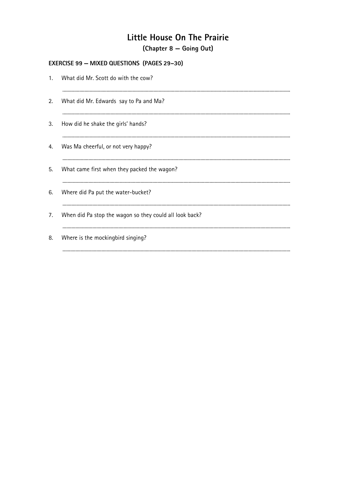(Chapter 8 – Going Out)

## **EXERCISE 99 - MIXED QUESTIONS (PAGES 29-30)**

|    | 1. What did Mr. Scott do with the cow?                  |
|----|---------------------------------------------------------|
| 2. | What did Mr. Edwards say to Pa and Ma?                  |
| 3. | How did he shake the girls' hands?                      |
| 4. | Was Ma cheerful, or not very happy?                     |
| 5. | What came first when they packed the wagon?             |
| 6. | Where did Pa put the water-bucket?                      |
| 7. | When did Pa stop the wagon so they could all look back? |
| 8. | Where is the mockingbird singing?                       |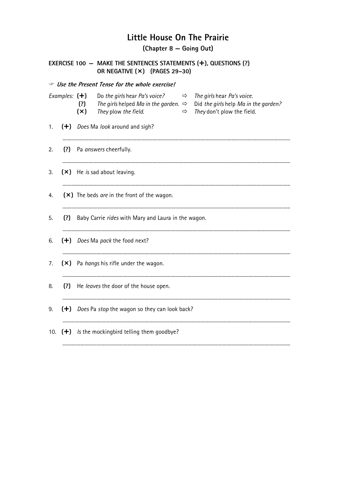(Chapter 8 – Going Out)

| EXERCISE 100 - MAKE THE SENTENCES STATEMENTS $(+)$ , QUESTIONS $(?)$<br>OR NEGATIVE (×) (PAGES 29-30) |  |                                                         |                                                                                                                                                                                                                                     |  |  |  |  |
|-------------------------------------------------------------------------------------------------------|--|---------------------------------------------------------|-------------------------------------------------------------------------------------------------------------------------------------------------------------------------------------------------------------------------------------|--|--|--|--|
| <b>By Use the Present Tense for the whole exercise!</b>                                               |  |                                                         |                                                                                                                                                                                                                                     |  |  |  |  |
| Examples: $(+)$                                                                                       |  | (?)<br>(x)                                              | Do the girls hear Pa's voice?<br>The girls hear Pa's voice.<br>$\Rightarrow$<br>The girls helped Ma in the garden. $\Rightarrow$<br>Did the girls help Ma in the garden?<br>They plow the field.<br>They don't plow the field.<br>⇨ |  |  |  |  |
| 1.                                                                                                    |  | (+) Does Ma look around and sigh?                       |                                                                                                                                                                                                                                     |  |  |  |  |
| 2.                                                                                                    |  | (?) Pa answers cheerfully.                              |                                                                                                                                                                                                                                     |  |  |  |  |
| 3.                                                                                                    |  | (×) He is sad about leaving.                            |                                                                                                                                                                                                                                     |  |  |  |  |
| 4.                                                                                                    |  | (×) The beds are in the front of the wagon.             |                                                                                                                                                                                                                                     |  |  |  |  |
| 5.                                                                                                    |  | (?) Baby Carrie rides with Mary and Laura in the wagon. |                                                                                                                                                                                                                                     |  |  |  |  |
| 6.                                                                                                    |  | (+) Does Ma pack the food next?                         |                                                                                                                                                                                                                                     |  |  |  |  |
| 7.                                                                                                    |  | (×) Pa hangs his rifle under the wagon.                 |                                                                                                                                                                                                                                     |  |  |  |  |
| 8.                                                                                                    |  | (?) He leaves the door of the house open.               |                                                                                                                                                                                                                                     |  |  |  |  |
| 9.                                                                                                    |  | $(+)$ Does Pa stop the wagon so they can look back?     |                                                                                                                                                                                                                                     |  |  |  |  |
| 10.                                                                                                   |  | $(+)$ Is the mockingbird telling them goodbye?          |                                                                                                                                                                                                                                     |  |  |  |  |
|                                                                                                       |  |                                                         |                                                                                                                                                                                                                                     |  |  |  |  |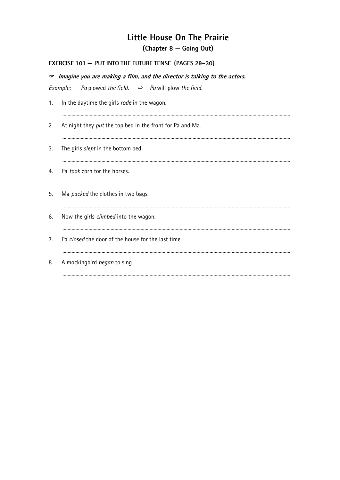(Chapter 8 – Going Out)

## EXERCISE 101 - PUT INTO THE FUTURE TENSE (PAGES 29-30)

|                | $\sigma$ Imagine you are making a film, and the director is talking to the actors. |  |  |  |  |
|----------------|------------------------------------------------------------------------------------|--|--|--|--|
|                | Example:<br>Pa plowed the field. $\Rightarrow$ Pa will plow the field.             |  |  |  |  |
| 1.             | In the daytime the girls rode in the wagon.                                        |  |  |  |  |
| 2.             | At night they put the top bed in the front for Pa and Ma.                          |  |  |  |  |
| 3.             | The girls slept in the bottom bed.                                                 |  |  |  |  |
| 4.             | Pa took corn for the horses.                                                       |  |  |  |  |
| 5.             | Ma packed the clothes in two bags.                                                 |  |  |  |  |
| 6.             | Now the girls climbed into the wagon.                                              |  |  |  |  |
| 7 <sub>1</sub> | Pa closed the door of the house for the last time.                                 |  |  |  |  |
| 8.             | A mockingbird began to sing.                                                       |  |  |  |  |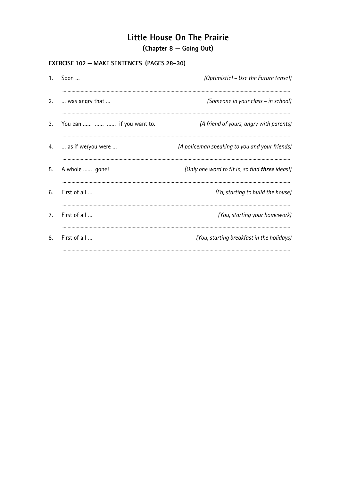## Little House On The Prairie (Chapter 8 – Going Out)

#### **EXERCISE 102 - MAKE SENTENCES (PAGES 28-30)**

| Soon                                | (Optimistic! – Use the Future tense!)                  |
|-------------------------------------|--------------------------------------------------------|
| was angry that                      | (Someone in your class - in school)                    |
| You can    if you want to.          | (A friend of yours, angry with parents)                |
| $\ldots$ as if we/you were $\ldots$ | (A policeman speaking to you and your friends)         |
| A whole  gone!                      | (Only one word to fit in, so find <b>three</b> ideas!) |
| First of all                        | (Pa, starting to build the house)                      |
| First of all                        | (You, starting your homework)                          |
| First of all                        | (You, starting breakfast in the holidays)              |
|                                     |                                                        |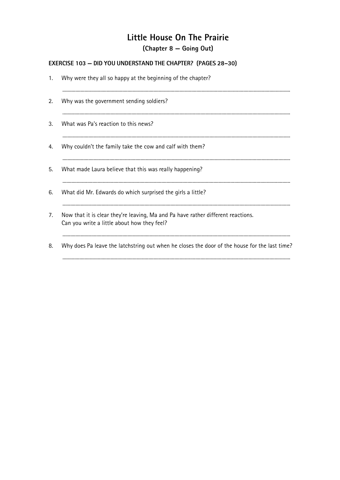# Little House On The Prairie (Chapter 8 – Going Out)

### **EXERCISE 103 - DID YOU UNDERSTAND THE CHAPTER?** (PAGES 28-30)

| 1. | Why were they all so happy at the beginning of the chapter?                                                                     |
|----|---------------------------------------------------------------------------------------------------------------------------------|
| 2. | Why was the government sending soldiers?                                                                                        |
| 3. | What was Pa's reaction to this news?                                                                                            |
| 4. | Why couldn't the family take the cow and calf with them?                                                                        |
| 5. | What made Laura believe that this was really happening?                                                                         |
| 6. | What did Mr. Edwards do which surprised the girls a little?                                                                     |
| 7. | Now that it is clear they're leaving, Ma and Pa have rather different reactions.<br>Can you write a little about how they feel? |
| 8. | Why does Pa leave the latchstring out when he closes the door of the house for the last time?                                   |
|    |                                                                                                                                 |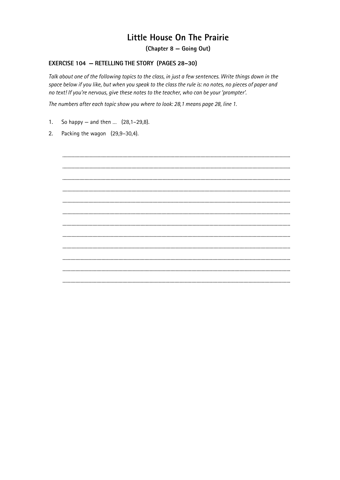## Little House On The Prairie

(Chapter 8 - Going Out)

#### **EXERCISE 104 - RETELLING THE STORY (PAGES 28-30)**

Talk about one of the following topics to the class, in just a few sentences. Write things down in the space below if you like, but when you speak to the class the rule is: no notes, no pieces of paper and no text! If you're nervous, give these notes to the teacher, who can be your 'prompter'.

The numbers after each topic show you where to look: 28,1 means page 28, line 1.

- $1.$ So happy – and then ...  $(28, 1-29, 8)$ .
- 2. Packing the wagon (29,9-30,4).